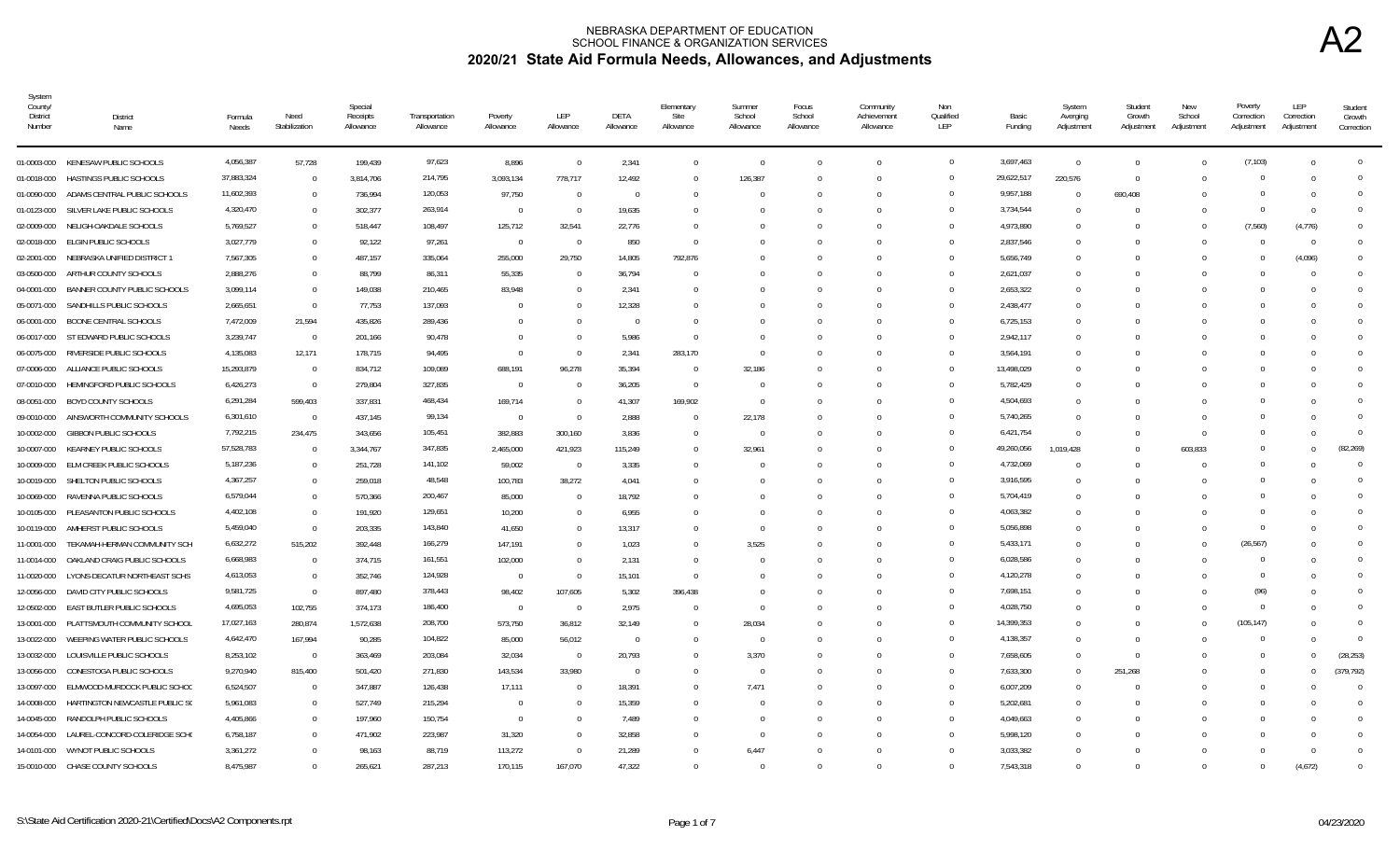| System<br>County/<br><b>District</b><br>Number | <b>District</b><br>Name            | Formula<br>Needs       | Need<br>Stabilization | Special<br>Receipts<br>Allowance | Transportation<br>Allowance | Poverty<br>Allowance | LEP<br>Allowance | DETA<br>Allowance | Elementary<br>Site<br>Allowance | Summer<br>School<br>Allowance | Focus<br>School<br>Allowance | Community<br>Achievement<br>Allowance | Non<br>Qualified<br>LEP | Basic<br>Funding       | System<br>Averging<br>Adjustment | Student<br>Growth<br>Adjustment | <b>New</b><br>School<br>Adjustment | Poverty<br>Correction<br>Adjustment | LEP<br>Correction<br>Adjustment | Student<br>Growth<br>Correction |
|------------------------------------------------|------------------------------------|------------------------|-----------------------|----------------------------------|-----------------------------|----------------------|------------------|-------------------|---------------------------------|-------------------------------|------------------------------|---------------------------------------|-------------------------|------------------------|----------------------------------|---------------------------------|------------------------------------|-------------------------------------|---------------------------------|---------------------------------|
|                                                | 01-0003-000 KENESAW PUBLIC SCHOOLS | 4,056,387              | 57,728                | 199,439                          | 97,623                      | 8,896                | $\overline{0}$   | 2,341             | $\Omega$                        | - 0                           | $\Omega$                     | $\Omega$                              | $\overline{0}$          | 3,697,463              | $\overline{0}$                   | $\Omega$                        |                                    | (7, 103)                            | $\Omega$                        | $\mathbf{0}$                    |
| 01-0018-000                                    | HASTINGS PUBLIC SCHOOLS            | 37,883,324             | $\overline{0}$        | 3,814,706                        | 214,795                     | 3,093,134            | 778,717          | 12,492            | $\Omega$                        | 126,387                       |                              | $\Omega$                              | $\Omega$                | 29,622,517             | 220,576                          | $\Omega$                        |                                    | $\Omega$                            | - 0                             | $\Omega$                        |
| 01-0090-000                                    | ADAMS CENTRAL PUBLIC SCHOOLS       | 11,602,393             | $\Omega$              | 736,994                          | 120,053                     | 97,750               | $\Omega$         | $\Omega$          |                                 |                               |                              |                                       | $\Omega$                | 9,957,188              | $\Omega$                         | 690,408                         |                                    | $\Omega$                            | $\Omega$                        | $\Omega$                        |
| 01-0123-000                                    | SILVER LAKE PUBLIC SCHOOLS         | 4,320,470              | $\Omega$              | 302,377                          | 263,914                     | $\overline{0}$       | $\Omega$         | 19,635            |                                 |                               |                              |                                       | $\Omega$                | 3,734,544              | $\Omega$                         |                                 |                                    | $\Omega$                            | $\Omega$                        | $\Omega$                        |
| 02-0009-000                                    | NELIGH-OAKDALE SCHOOLS             | 5,769,527              | $\mathbf{0}$          | 518,447                          | 108,497                     | 125,712              | 32,541           | 22,776            |                                 |                               |                              | $\Omega$                              | $\Omega$                | 4,973,890              | $\Omega$                         |                                 |                                    | (7,560)                             | (4,776)                         | $\Omega$                        |
| 02-0018-000                                    | ELGIN PUBLIC SCHOOLS               | 3,027,779              | $\mathbf{0}$          | 92,122                           | 97,261                      | $\overline{0}$       | $\Omega$         | 850               | $\Omega$                        |                               |                              | $\Omega$                              | $\Omega$                | 2,837,546              | $\Omega$                         |                                 |                                    | $\Omega$                            | $\overline{0}$                  | $\Omega$                        |
| 02-2001-000                                    | NEBRASKA UNIFIED DISTRICT 1        | 7,567,305              | $\mathbf{0}$          | 487,157                          | 335,064                     | 255,000              | 29,750           | 14,805            | 792,876                         |                               | <sup>n</sup>                 | $\cap$                                | $\Omega$                | 5,656,749              | $\Omega$                         |                                 |                                    | $\Omega$                            | (4,096)                         | $\Omega$                        |
| 03-0500-000                                    | ARTHUR COUNTY SCHOOLS              | 2,888,276              | $\Omega$              | 88,799                           | 86,311                      | 55,335               | - 0              | 36,794            | <sup>n</sup>                    |                               |                              | $\cap$                                | $\Omega$                | 2,621,037              | $\Omega$                         |                                 |                                    | $\Omega$                            | $\Omega$                        | $\Omega$                        |
| 04-0001-000                                    | BANNER COUNTY PUBLIC SCHOOLS       | 3,099,114              | $\mathbf{0}$          | 149,038                          | 210,465                     | 83.948               | $\Omega$         | 2,341             |                                 |                               |                              | $\Omega$                              | $\Omega$                | 2,653,322              | $\Omega$                         |                                 |                                    | $\Omega$                            | $\Omega$                        | $\Omega$                        |
| 05-0071-000                                    | SANDHILLS PUBLIC SCHOOLS           | 2,665,651              | $\overline{0}$        | 77,753                           | 137,093                     | $\Omega$             | - 0              | 12,328            |                                 |                               |                              | $\Omega$                              | $\Omega$                | 2,438,477              | $\Omega$                         |                                 |                                    | $\Omega$                            | $\Omega$                        | $\Omega$                        |
| 06-0001-000                                    | <b>BOONE CENTRAL SCHOOLS</b>       | 7,472,009              | 21,594                | 435,826                          | 289,436                     | $\Omega$             | $\Omega$         | $\Omega$          | $\Omega$                        |                               | <sup>0</sup>                 | $\Omega$                              | $\Omega$                | 6,725,153              | $\Omega$                         |                                 |                                    | $\Omega$                            | $\Omega$                        | $\Omega$                        |
| 06-0017-000                                    | ST EDWARD PUBLIC SCHOOLS           | 3,239,747              | $\overline{0}$        | 201,166                          | 90,478                      | $\Omega$             | $\cap$           | 5,986             | $\Omega$                        |                               |                              | $\Omega$                              |                         | 2,942,117              | $\Omega$                         |                                 |                                    | $\Omega$                            | $\Omega$                        | $\Omega$                        |
| 06-0075-000                                    | RIVERSIDE PUBLIC SCHOOLS           | 4,135,083              | 12,171                | 178.715                          | 94,495                      | $\Omega$             | $\Omega$         | 2.341             | 283.170                         |                               |                              |                                       | $\Omega$                | 3,564,191              | $\Omega$                         |                                 |                                    | $\Omega$                            | $\Omega$                        | $\Omega$                        |
| 07-0006-000                                    | ALLIANCE PUBLIC SCHOOLS            | 15,293,879             | $\Omega$              | 834,712                          | 109,089                     | 688,191              | 96,278           | 35.394            | $\Omega$                        | 32,186                        |                              | $\Omega$                              | $\Omega$                | 13,498,029             | $\Omega$                         |                                 |                                    | $\Omega$                            | $\Omega$                        | $\Omega$                        |
| 07-0010-000                                    | HEMINGFORD PUBLIC SCHOOLS          | 6,426,273              | $\overline{0}$        | 279,804                          | 327,835                     | $\overline{0}$       |                  | 36,205            | $\Omega$                        |                               |                              |                                       | $\Omega$                | 5,782,429              | $\Omega$                         |                                 |                                    | $\Omega$                            | $\Omega$                        | $\overline{0}$                  |
| 08-0051-000                                    | <b>BOYD COUNTY SCHOOLS</b>         | 6,291,284              | 599,403               | 337,831                          | 468,434                     | 169,714              | $\Omega$         | 41,307            | 169,902                         |                               |                              |                                       | $\Omega$                | 4,504,693              | $\Omega$                         |                                 |                                    | $\Omega$                            | $\Omega$                        | $\overline{0}$                  |
| 09-0010-000                                    | AINSWORTH COMMUNITY SCHOOLS        | 6,301,610              | $\overline{0}$        | 437,145                          | 99,134                      | $\overline{0}$       | $\overline{0}$   | 2,888             | $\Omega$                        | 22,178                        | $\Omega$                     | $\Omega$                              | $\Omega$                | 5,740,265              | $^{\circ}$                       |                                 |                                    | $\Omega$                            | $\Omega$                        | $\Omega$                        |
| 10-0002-000                                    | <b>GIBBON PUBLIC SCHOOLS</b>       | 7,792,215              | 234,475               | 343,656                          | 105,451                     | 382,883              | 300,160          | 3,836             | $\Omega$                        | $\bigcap$                     |                              | $\Omega$                              | $\Omega$                | 6,421,754              | $\Omega$                         |                                 |                                    | $\Omega$                            | $\Omega$                        | $\Omega$                        |
| 10-0007-000                                    | KEARNEY PUBLIC SCHOOLS             | 57,528,783             | $\overline{0}$        | 3,344,767                        | 347,835                     | 2,465,000            | 421,923          | 115,249           | $\Omega$                        | 32,961                        |                              | $\Omega$                              | $\Omega$                | 49,260,056             | 1.019.428                        |                                 | 603,833                            | $\Omega$                            | $\Omega$                        | (82, 269)                       |
| 10-0009-000                                    | ELM CREEK PUBLIC SCHOOLS           | 5,187,236              | $\mathbf{0}$          | 251,728                          | 141,102                     | 59,002               | $\overline{0}$   | 3,335             |                                 |                               |                              |                                       | $\Omega$                | 4,732,069              | $\Omega$                         |                                 |                                    | $\Omega$                            | $\Omega$                        | $\overline{0}$                  |
| 10-0019-000                                    | SHELTON PUBLIC SCHOOLS             | 4,367,257              | $\mathbf{0}$          | 259,018                          | 48,548                      | 100,783              | 38,272           | 4,041             |                                 |                               |                              | $\Omega$                              | $\Omega$                | 3,916,595              | 0                                |                                 |                                    | $\Omega$                            |                                 | $\Omega$                        |
| 10-0069-000                                    | RAVENNA PUBLIC SCHOOLS             | 6,579,044              | $\mathbf{0}$          | 570,366                          | 200,467                     | 85,000               | $\cap$           | 18,792            |                                 |                               | <sup>n</sup>                 | $\cap$                                | $\Omega$                | 5,704,419              | $^{\circ}$                       |                                 |                                    | $\Omega$                            | $\Omega$                        | $\Omega$                        |
| 10-0105-000                                    | PLEASANTON PUBLIC SCHOOLS          | 4,402,108              | $\mathbf 0$           | 191,920                          | 129,651                     | 10,200               | - 0              | 6,955             |                                 |                               |                              | $\Omega$                              | $\Omega$                | 4,063,382              | $\Omega$                         |                                 |                                    | $\Omega$                            | $\Omega$                        | $\Omega$                        |
| 10-0119-000                                    | AMHERST PUBLIC SCHOOLS             | 5,459,040              | $\Omega$              | 203,335                          | 143,840                     | 41,650               | $\Omega$         | 13,317            | $\Omega$                        |                               | $\Omega$                     | $\Omega$                              | $\Omega$                | 5,056,898              | $\Omega$                         |                                 |                                    | $\Omega$                            | $\Omega$                        | $\Omega$                        |
| 11-0001-000                                    | TEKAMAH-HERMAN COMMUNITY SCH       | 6,632,272              | 515,202               | 392,448                          | 166,279                     | 147,191              | $\Omega$         | 1,023             | $\Omega$                        | 3,525                         | $\Omega$                     | $\Omega$                              |                         | 5,433,171              | $\Omega$                         |                                 |                                    | (26, 567)                           | $\Omega$                        | $\Omega$                        |
| 11-0014-000                                    | OAKLAND CRAIG PUBLIC SCHOOLS       | 6,668,983              | $\overline{0}$        | 374,715                          | 161,551                     | 102,000              | $\Omega$         | 2,131             | $\Omega$                        |                               |                              | $\Omega$                              | $\Omega$                | 6,028,586              | $\Omega$                         |                                 |                                    | $\Omega$                            | $\Omega$                        | $\Omega$                        |
| 11-0020-000                                    | LYONS-DECATUR NORTHEAST SCHS       | 4,613,053              | $\mathbf{0}$          | 352,746                          | 124,928                     | $\overline{0}$       | $\Omega$         | 15,101            | $\cap$                          |                               |                              |                                       | $\Omega$                | 4,120,278              | $\Omega$                         |                                 |                                    | $\Omega$                            | $\Omega$                        | $\Omega$                        |
| 12-0056-000                                    | DAVID CITY PUBLIC SCHOOLS          | 9,581,725              | $\Omega$              | 897.480                          | 378,443                     | 98.402               | 107,605          | 5.302             | 396.438                         |                               |                              |                                       | $\Omega$                | 7,698,151              | $\Omega$                         |                                 |                                    | (96)                                | $\Omega$                        | $\Omega$                        |
| 12-0502-000                                    | EAST BUTLER PUBLIC SCHOOLS         | 4,695,053              | 102,755               | 374,173                          | 186,400                     | $\overline{0}$       | $\Omega$         | 2,975             | $\Omega$                        | $\bigcap$                     | <sup>0</sup>                 | $\Omega$                              |                         | 4,028,750              | $\Omega$                         |                                 |                                    | $\Omega$                            | $\Omega$                        | $\Omega$                        |
| 13-0001-000                                    | PLATTSMOUTH COMMUNITY SCHOOL       | 17,027,163             | 280,874               | 1,572,638                        | 208,700                     | 573,750              | 36,812           | 32,149            | $\Omega$                        | 28,034                        |                              |                                       | $\Omega$<br>$\Omega$    | 14,399,353             | $\Omega$                         |                                 |                                    | (105, 147)                          | $\Omega$                        | $\overline{0}$                  |
| 13-0022-000                                    | WEEPING WATER PUBLIC SCHOOLS       | 4,642,470<br>8,253,102 | 167,994               | 90,285                           | 104,822                     | 85,000               | 56,012           | $\overline{0}$    |                                 |                               |                              |                                       | $\Omega$                | 4,138,357              | $\Omega$                         |                                 |                                    | 0<br>$\Omega$                       | $\Omega$                        | $\overline{0}$<br>(28, 253)     |
| 13-0032-000                                    | LOUISVILLE PUBLIC SCHOOLS          | 9,270,940              | $\overline{0}$        | 363,469                          | 203,084<br>271,830          | 32,034               | $\overline{0}$   | 20,793            | $\Omega$                        | 3,370                         |                              | $\Omega$                              | $\Omega$                | 7,658,605<br>7,633,300 | $^{\circ}$                       | $\Omega$                        |                                    |                                     | $\Omega$<br>$\Omega$            | (379.792)                       |
| 13-0056-000                                    | CONESTOGA PUBLIC SCHOOLS           |                        | 815,400               | 501,420                          |                             | 143,534              | 33,980           | $\Omega$          |                                 | - 0                           |                              |                                       | $\Omega$                |                        | $\Omega$                         | 251,268                         |                                    | $^{\circ}$<br>$\Omega$              |                                 | $\Omega$                        |
| 13-0097-000                                    | ELMWOOD-MURDOCK PUBLIC SCHOC       | 6,524,507              | $\overline{0}$        | 347,887                          | 126,438                     | 17,111               | - 0              | 18,391            |                                 | 7,471                         |                              |                                       | $\Omega$                | 6,007,209              | $\Omega$                         |                                 |                                    |                                     | $\Omega$                        |                                 |
| 14-0008-000                                    | HARTINGTON NEWCASTLE PUBLIC S(     | 5,961,083              | $\mathbf{0}$          | 527,749                          | 215,294                     | $\overline{0}$       | $\Omega$         | 15,359            |                                 |                               | $\Omega$                     | $\Omega$                              |                         | 5,202,681              | $\Omega$                         |                                 |                                    | $\Omega$                            | $\Omega$                        | $\Omega$                        |
| 14-0045-000                                    | RANDOLPH PUBLIC SCHOOLS            | 4,405,866              | $\mathbf{0}$          | 197,960                          | 150,754                     | $\overline{0}$       | - 0              | 7,489             |                                 | - 0                           | $\Omega$                     | $\Omega$                              | $\Omega$<br>$\Omega$    | 4,049,663              | $\Omega$                         |                                 |                                    | $\Omega$<br>$\Omega$                | - 0                             | $\Omega$<br>$\Omega$            |
| 14-0054-000                                    | LAUREL-CONCORD-COLERIDGE SCHO      | 6,758,187              | $\mathbf 0$           | 471,902                          | 223,987                     | 31,320               | $\cap$           | 32,858            |                                 |                               |                              | $\Omega$                              |                         | 5,998,120              | $\Omega$                         |                                 |                                    | $\Omega$                            | $\Omega$                        |                                 |
| 14-0101-000                                    | WYNOT PUBLIC SCHOOLS               | 3,361,272              | $\mathbf{0}$          | 98,163                           | 88,719                      | 113,272              | $\Omega$         | 21,289            |                                 | 6,447                         |                              | $\Omega$                              | $\Omega$<br>$\Omega$    | 3,033,382              | $\Omega$                         |                                 |                                    |                                     | $\Omega$                        | $\Omega$                        |
|                                                | 15-0010-000 CHASE COUNTY SCHOOLS   | 8.475.987              | $\Omega$              | 265,621                          | 287.213                     | 170,115              | 167,070          | 47.322            | $\Omega$                        |                               | 0                            | $\Omega$                              |                         | 7.543.318              | $\Omega$                         | $\Omega$                        |                                    | $\Omega$                            | (4,672)                         | $\Omega$                        |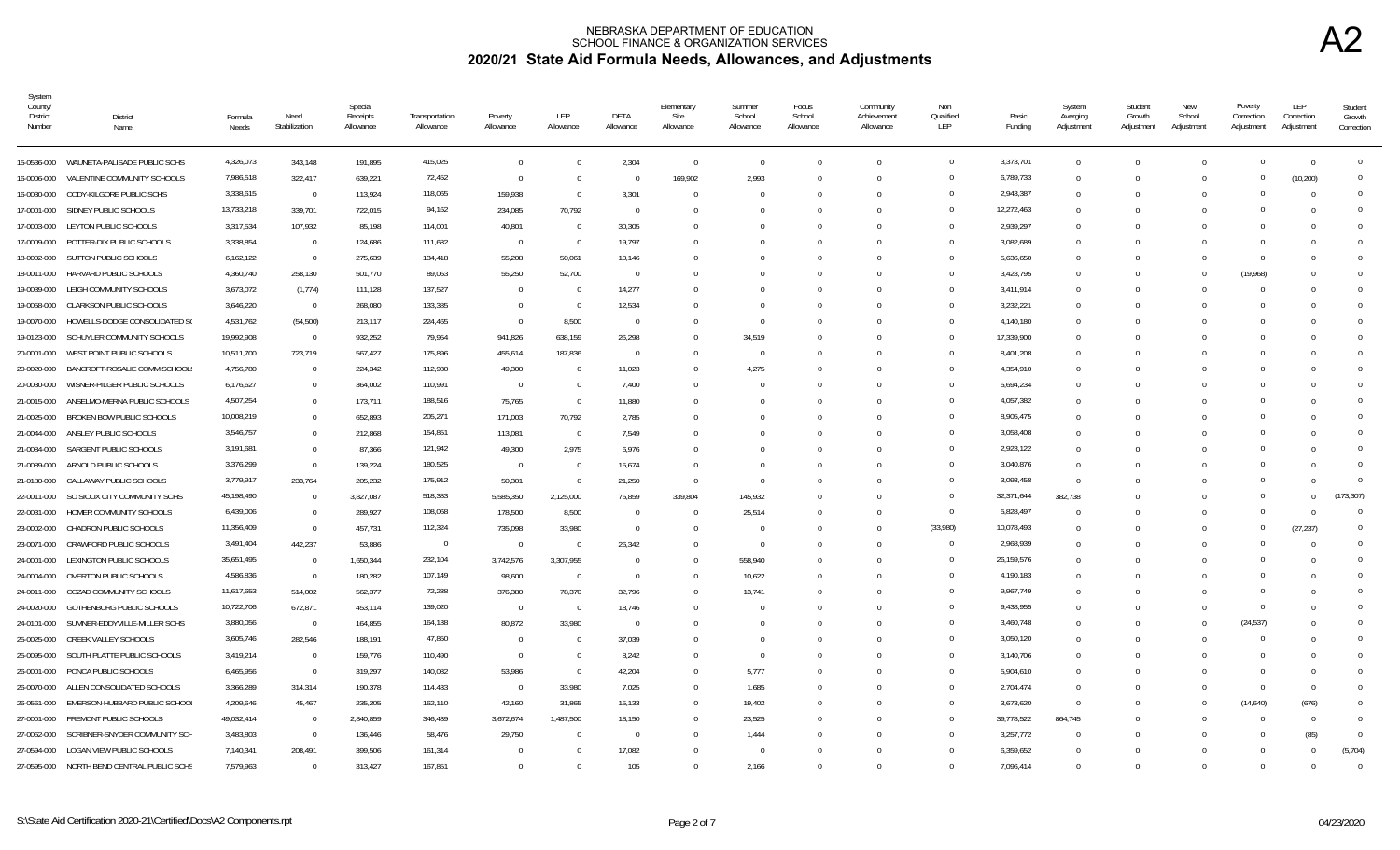| System<br>County/<br>District<br>Number | <b>District</b><br>Name                    | Formula<br>Needs | Need<br>Stabilization | Special<br>Receipts<br>Allowance | Transportation<br>Allowance | Poverty<br>Allowance | LEP<br>Allowance | DETA<br>Allowance | Elementary<br>Site<br>Allowance | Summer<br>School<br>Allowance | Focus<br>School<br>Allowance | Community<br>Achievement<br>Allowance | Non<br>Qualified<br>LEP | Basic<br>Funding | System<br>Averging<br>Adjustment | Student<br>Growth<br>Adjustment | New<br>School<br>Adjustment | Poverty<br>Correction<br>Adjustment | LEP<br>Correction<br>Adjustment | Student<br>Growth<br>Correction |
|-----------------------------------------|--------------------------------------------|------------------|-----------------------|----------------------------------|-----------------------------|----------------------|------------------|-------------------|---------------------------------|-------------------------------|------------------------------|---------------------------------------|-------------------------|------------------|----------------------------------|---------------------------------|-----------------------------|-------------------------------------|---------------------------------|---------------------------------|
|                                         | 15-0536-000 WAUNETA-PALISADE PUBLIC SCHS   | 4,326,073        | 343,148               | 191,895                          | 415,025                     | $\Omega$             |                  | 2,304             | $\Omega$                        | $\Omega$                      | $\Omega$                     | $\Omega$                              | $\overline{0}$          | 3,373,701        | $\mathbf{0}$                     | $\Omega$                        |                             |                                     | $\Omega$                        | $\mathbf{0}$                    |
| 16-0006-000                             | VALENTINE COMMUNITY SCHOOLS                | 7,986,518        | 322,417               | 639,221                          | 72,452                      | $\Omega$             | - 0              | $\Omega$          | 169,902                         | 2,993                         | 0                            | $\Omega$                              | $\Omega$                | 6,789,733        | $\overline{0}$                   | $\Omega$                        | $\Omega$                    |                                     | (10, 200)                       | $\Omega$                        |
| 16-0030-000                             | CODY-KILGORE PUBLIC SCHS                   | 3,338,615        | $\overline{0}$        | 113,924                          | 118,065                     | 159,938              | - 0              | 3,301             | $\Omega$                        |                               |                              | $\Omega$                              | $\Omega$                | 2,943,387        | $\mathbf{0}$                     | $\Omega$                        |                             |                                     | - 0                             | $\Omega$                        |
| 17-0001-000                             | SIDNEY PUBLIC SCHOOLS                      | 13,733,218       | 339,701               | 722,015                          | 94,162                      | 234,085              | 70,792           | $\Omega$          |                                 |                               |                              | $\Omega$                              | $\Omega$                | 12,272,463       | $\mathbf{0}$                     | -0                              |                             |                                     |                                 | $\Omega$                        |
| 17-0003-000                             | LEYTON PUBLIC SCHOOLS                      | 3,317,534        | 107,932               | 85,198                           | 114,001                     | 40,801               | - 0              | 30,305            | $\Omega$                        |                               |                              | $\Omega$                              | $\Omega$                | 2,939,297        | $\mathbf{0}$                     | n                               |                             |                                     |                                 | $\Omega$                        |
|                                         | 17-0009-000 POTTER-DIX PUBLIC SCHOOLS      | 3,338,854        | $\overline{0}$        | 124,686                          | 111,682                     | $\Omega$             | - 0              | 19,797            |                                 |                               |                              | $\bigcap$                             | $\Omega$                | 3,082,689        | $\mathbf 0$                      | $\Omega$                        |                             |                                     |                                 | $\Omega$                        |
| 18-0002-000                             | SUTTON PUBLIC SCHOOLS                      | 6,162,122        | $\Omega$              | 275,639                          | 134,418                     | 55,208               | 50,061           | 10,146            | $\cup$                          |                               |                              | $\Omega$                              | $\Omega$                | 5,636,650        | $\Omega$                         | $\Omega$                        |                             | $\Omega$                            |                                 | $\Omega$                        |
| 18-0011-000                             | HARVARD PUBLIC SCHOOLS                     | 4,360,740        | 258,130               | 501,770                          | 89,063                      | 55,250               | 52,700           | $\Omega$          |                                 |                               |                              |                                       | $\Omega$                | 3,423,795        | $\Omega$                         | $\Omega$                        |                             | (19,968)                            |                                 |                                 |
| 19-0039-000                             | LEIGH COMMUNITY SCHOOLS                    | 3,673,072        | (1, 774)              | 111,128                          | 137,527                     | $\Omega$             | - 0              | 14,277            |                                 |                               |                              |                                       | $\Omega$                | 3,411,914        | $\Omega$                         | $\Omega$                        |                             |                                     |                                 | $\Omega$                        |
| 19-0058-000                             | <b>CLARKSON PUBLIC SCHOOLS</b>             | 3,646,220        | $\Omega$              | 268,080                          | 133,385                     | $\Omega$             | - 0              | 12,534            |                                 |                               |                              |                                       | $\Omega$                | 3,232,221        | $\Omega$                         | $\Omega$                        |                             |                                     |                                 |                                 |
| 19-0070-000                             | HOWELLS-DODGE CONSOLIDATED SO              | 4,531,762        | (54, 500)             | 213,117                          | 224,465                     | $\Omega$             | 8,500            | $\Omega$          | $\Omega$                        | - 0                           |                              |                                       | $\Omega$                | 4,140,180        | $\Omega$                         |                                 |                             |                                     |                                 | $\Omega$                        |
| 19-0123-000                             | SCHUYLER COMMUNITY SCHOOLS                 | 19,992,908       | $\overline{0}$        | 932,252                          | 79,954                      | 941,826              | 638,159          | 26,298            |                                 | 34,519                        |                              |                                       | $\Omega$                | 17,339,900       | $\Omega$                         |                                 |                             |                                     |                                 |                                 |
|                                         | 20-0001-000 WEST POINT PUBLIC SCHOOLS      | 10,511,700       | 723,719               | 567,427                          | 175,896                     | 455,614              | 187,836          | $\Omega$          | $\Omega$                        | - 0                           |                              |                                       | $\Omega$                | 8,401,208        | $\Omega$                         |                                 |                             |                                     |                                 | $\Omega$                        |
| 20-0020-000                             | BANCROFT-ROSALIE COMM SCHOOL               | 4,756,780        | $\Omega$              | 224,342                          | 112,930                     | 49,300               | $\Omega$         | 11,023            | $\Omega$                        | 4,275                         |                              |                                       | $\Omega$                | 4,354,910        | $\Omega$                         | $\Omega$                        |                             |                                     |                                 | $\Omega$                        |
| 20-0030-000                             | WISNER-PILGER PUBLIC SCHOOLS               | 6,176,627        | $\mathbf{0}$          | 364,002                          | 110,991                     | $\overline{0}$       | - 0              | 7,400             |                                 |                               |                              |                                       | $\Omega$                | 5,694,234        | $\Omega$                         | n                               |                             |                                     |                                 | $\Omega$                        |
| 21-0015-000                             | ANSELMO-MERNA PUBLIC SCHOOLS               | 4,507,254        | $\overline{0}$        | 173,711                          | 188,516                     | 75,765               | $\Omega$         | 11,880            |                                 |                               |                              |                                       | $\Omega$                | 4,057,382        | $\Omega$                         |                                 |                             |                                     |                                 | $\Omega$                        |
| 21-0025-000                             | BROKEN BOW PUBLIC SCHOOLS                  | 10,008,219       | $\mathbf{0}$          | 652,893                          | 205,271                     | 171,003              | 70,792           | 2,785             |                                 |                               |                              | $\cup$                                | $\Omega$                | 8,905,475        | $\Omega$                         | -0                              |                             |                                     |                                 | $\Omega$                        |
| 21-0044-000                             | ANSLEY PUBLIC SCHOOLS                      | 3,546,757        | $\mathbf{0}$          | 212,868                          | 154,851                     | 113,081              | - 0              | 7,549             | $\cup$                          |                               |                              | $\cup$                                | $\Omega$                | 3,058,408        | $\Omega$                         | -0                              |                             |                                     |                                 | $\Omega$                        |
| 21-0084-000                             | SARGENT PUBLIC SCHOOLS                     | 3,191,681        | $\mathbf{0}$          | 87,366                           | 121,942                     | 49,300               | 2,975            | 6,976             |                                 |                               |                              |                                       | $\Omega$                | 2,923,122        | $\Omega$                         |                                 |                             |                                     |                                 |                                 |
|                                         | 21-0089-000 ARNOLD PUBLIC SCHOOLS          | 3,376,299        | $\Omega$              | 139,224                          | 180,525                     | $\overline{0}$       | $\bigcap$        | 15,674            | $\Omega$                        |                               |                              | $\Omega$                              | $\Omega$                | 3,040,876        | $\Omega$                         | n                               |                             |                                     |                                 |                                 |
|                                         | 21-0180-000 CALLAWAY PUBLIC SCHOOLS        | 3,779,917        | 233,764               | 205,232                          | 175,912                     | 50,301               | $\bigcap$        | 21,250            | $\Omega$                        | $\bigcap$                     | 0                            | $\Omega$                              | $\Omega$                | 3,093,458        | $\Omega$                         | $\Omega$                        |                             |                                     |                                 |                                 |
| 22-0011-000                             | SO SIOUX CITY COMMUNITY SCHS               | 45,198,490       | $\Omega$              | 3,827,087                        | 518,383                     | 5,585,350            | 2,125,000        | 75,859            | 339.804                         | 145,932                       | <sup>0</sup>                 | $\Omega$                              | $\Omega$                | 32,371,644       | 382.738                          | $\Omega$                        |                             |                                     |                                 | (173, 307)                      |
| 22-0031-000                             | HOMER COMMUNITY SCHOOLS                    | 6,439,006        | $\Omega$              | 289,927                          | 108,068                     | 178,500              | 8,500            | $\Omega$          | $\Omega$                        | 25,514                        | <sup>0</sup>                 | $\Omega$                              | $\overline{0}$          | 5,828,497        | $\Omega$                         | $\Omega$                        |                             |                                     |                                 | $\Omega$                        |
| 23-0002-000                             | CHADRON PUBLIC SCHOOLS                     | 11,356,409       | $\Omega$              | 457,731                          | 112,324                     | 735,098              | 33,980           | $\Omega$          | $\Omega$                        |                               |                              | $\Omega$                              | (33,980)                | 10,078,493       | $\mathbf 0$                      |                                 |                             | $\Omega$                            | (27, 237)                       | $\Omega$                        |
| 23-0071-000                             | CRAWFORD PUBLIC SCHOOLS                    | 3,491,404        | 442,237               | 53,886                           | $\overline{0}$              | $\Omega$             |                  | 26,342            | $\Omega$                        | - 0                           |                              |                                       | $\Omega$                | 2,968,939        | $\mathbf 0$                      |                                 |                             |                                     |                                 | $\Omega$                        |
| 24-0001-000                             | LEXINGTON PUBLIC SCHOOLS                   | 35,651,495       | $\overline{0}$        | 1,650,344                        | 232,104                     | 3,742,576            | 3,307,955        | $^{\circ}$        | $^{\circ}$                      | 558,940                       |                              |                                       | $\Omega$                | 26,159,576       | $\mathbf{0}$                     |                                 |                             |                                     |                                 | $\Omega$                        |
| 24-0004-000                             | OVERTON PUBLIC SCHOOLS                     | 4,586,836        | $\overline{0}$        | 180,282                          | 107,149                     | 98,600               | - 0              | $\overline{0}$    | $\cup$                          | 10,622                        |                              |                                       | $\Omega$                | 4,190,183        | $\mathbf{0}$                     |                                 |                             |                                     |                                 | $\Omega$                        |
|                                         | 24-0011-000 COZAD COMMUNITY SCHOOLS        | 11,617,653       | 514,002               | 562,377                          | 72,238                      | 376,380              | 78,370           | 32,796            | $\Omega$                        | 13,741                        |                              | $\Omega$                              | $\Omega$                | 9,967,749        | $\Omega$                         | $\sqrt{ }$                      |                             |                                     |                                 | $\Omega$                        |
| 24-0020-000                             | GOTHENBURG PUBLIC SCHOOLS                  | 10,722,706       | 672,871               | 453,114                          | 139,020                     | $\Omega$             | - 0              | 18,746            | $\Omega$                        |                               |                              | $\Omega$                              | $\Omega$                | 9,438,955        | $\Omega$                         | $\Omega$                        |                             | $\Omega$                            |                                 | $\Omega$                        |
| 24-0101-000                             | SUMNER-EDDYVILLE-MILLER SCHS               | 3,880,056        | $\Omega$              | 164,855                          | 164,138                     | 80,872               | 33,980           | $\Omega$          |                                 |                               |                              |                                       | $\Omega$                | 3,460,748        | $\Omega$                         | $\Omega$                        |                             | (24, 537)                           |                                 |                                 |
| 25-0025-000                             | CREEK VALLEY SCHOOLS                       | 3,605,746        | 282,546               | 188,191                          | 47,850                      | $\Omega$             | $\bigcap$        | 37,039            | $\Omega$                        |                               |                              | $\Omega$                              | $\Omega$                | 3,050,120        | $\Omega$                         | $\Omega$                        |                             |                                     |                                 | $\Omega$                        |
|                                         | 25-0095-000 SOUTH PLATTE PUBLIC SCHOOLS    | 3,419,214        | $\Omega$              | 159,776                          | 110,490                     | $\Omega$             | $\bigcap$        | 8,242             | <sup>0</sup>                    |                               |                              |                                       | $\Omega$                | 3,140,706        | $\Omega$                         |                                 |                             |                                     |                                 |                                 |
| 26-0001-000                             | PONCA PUBLIC SCHOOLS                       | 6,465,956        | $\Omega$              | 319,297                          | 140,082                     | 53,986               | - 0              | 42,204            | $\Omega$                        | 5,777                         |                              | $\Omega$                              | $\Omega$                | 5,904,610        | $\Omega$                         | n                               |                             |                                     |                                 | $\Omega$                        |
|                                         | 26-0070-000 ALLEN CONSOLIDATED SCHOOLS     | 3,366,289        | 314,314               | 190,378                          | 114,433                     | $\bigcap$            | 33,980           | 7,025             | $\cup$                          | 1,685                         |                              |                                       | $\Omega$                | 2,704,474        | $\Omega$                         | n                               |                             | $\Omega$                            |                                 | $\Omega$                        |
| 26-0561-000                             | EMERSON-HUBBARD PUBLIC SCHOOL              | 4,209,646        | 45,467                | 235,205                          | 162,110                     | 42,160               | 31,865           | 15,133            | $\Omega$                        | 19,402                        |                              |                                       | $\Omega$                | 3,673,620        | $\Omega$                         |                                 |                             | (14, 640)                           | (676)                           | $\Omega$                        |
|                                         | 27-0001-000 FREMONT PUBLIC SCHOOLS         | 49,032,414       | $\Omega$              | 2,840,859                        | 346,439                     | 3,672,674            | 1,487,500        | 18,150            | $\Omega$                        | 23,525                        |                              |                                       | $\Omega$                | 39,778,522       | 864,745                          |                                 |                             |                                     |                                 | $\Omega$                        |
| 27-0062-000                             | SCRIBNER-SNYDER COMMUNITY SCH              | 3,483,803        | $\Omega$              | 136,446                          | 58,476                      | 29,750               | - 0              | $\Omega$          | $\Omega$                        | 1,444                         |                              |                                       | $\Omega$                | 3,257,772        | $\Omega$                         | $\Omega$                        |                             |                                     | (85)                            | $\Omega$                        |
|                                         | 27-0594-000 LOGAN VIEW PUBLIC SCHOOLS      | 7,140,341        | 208,491               | 399,506                          | 161,314                     |                      |                  | 17,082            |                                 |                               |                              |                                       |                         | 6,359,652        | $\Omega$                         | $\Omega$                        |                             |                                     |                                 | (5.704)                         |
|                                         | 27-0595-000 NORTH BEND CENTRAL PUBLIC SCHS | 7,579,963        | $\Omega$              | 313,427                          | 167,851                     |                      |                  | 105               | $\cup$                          | 2,166                         |                              |                                       | $\Omega$                | 7,096,414        | $\Omega$                         | $\Omega$                        |                             |                                     |                                 | $\Omega$                        |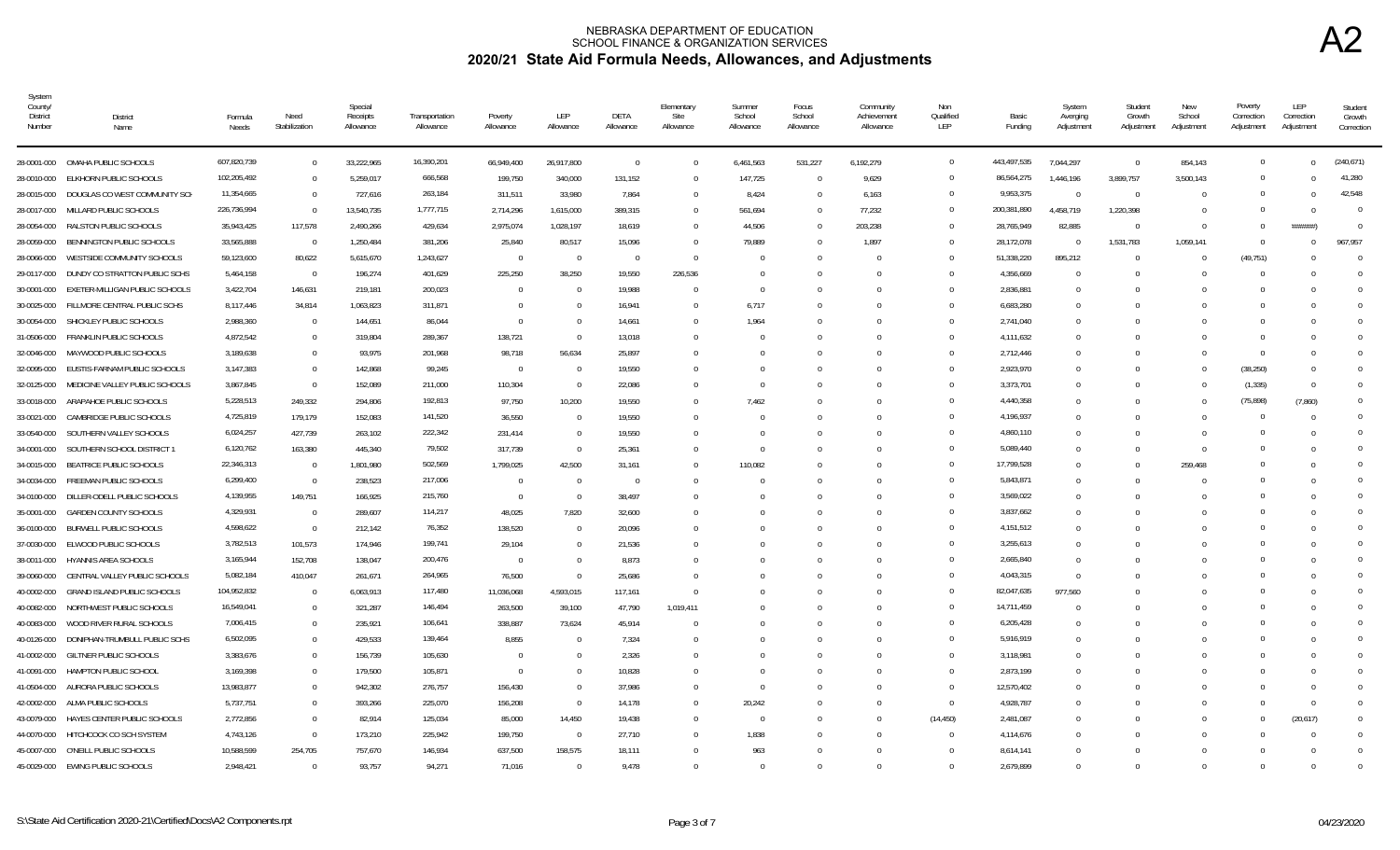| System<br>County/<br><b>District</b><br>Number | <b>District</b><br>Name                       | Formula<br>Needs       | Need<br>Stabilization    | Special<br>Receipts<br>Allowance | Transportation<br>Allowance | Poverty<br>Allowance     | LEP<br>Allowance | DETA<br>Allowance | Elementary<br>Site<br>Allowance | Summer<br>School<br>Allowance | Focus<br>School<br>Allowance | Community<br>Achievement<br>Allowance | Non<br>Qualified<br>LEP | Basic<br>Funding       | System<br>Averging<br>Adjustment | Student<br>Growth<br>Adjustment | New<br>School<br>Adjustment | Poverty<br>Correction<br>Adjustment | LEP<br>Correction<br>Adjustment | Student<br>Growth<br>Correction |
|------------------------------------------------|-----------------------------------------------|------------------------|--------------------------|----------------------------------|-----------------------------|--------------------------|------------------|-------------------|---------------------------------|-------------------------------|------------------------------|---------------------------------------|-------------------------|------------------------|----------------------------------|---------------------------------|-----------------------------|-------------------------------------|---------------------------------|---------------------------------|
| 28-0001-000                                    | OMAHA PUBLIC SCHOOLS                          | 607,820,739            | $\overline{0}$           | 33,222,965                       | 16,390,201                  | 66,949,400               | 26,917,800       | $\Omega$          | $\Omega$                        | 6.461.563                     | 531,227                      | 6,192,279                             | $\overline{0}$          | 443,497,535            | 7,044,297                        | $\overline{0}$                  | 854,143                     | $\overline{0}$                      | $\Omega$                        | (240.671)                       |
| 28-0010-000                                    | ELKHORN PUBLIC SCHOOLS                        | 102,205,492            | $\Omega$                 | 5,259,017                        | 666,568                     | 199,750                  | 340,000          | 131.152           | $\Omega$                        | 147,725                       | $\Omega$                     | 9,629                                 | $\Omega$                | 86,564,275             | 1,446,196                        | 3,899,757                       | 3,500,143                   | $\Omega$                            | $\Omega$                        | 41,280                          |
| 28-0015-000                                    | DOUGLAS CO WEST COMMUNITY SCH                 | 11,354,665             | $\Omega$                 | 727,616                          | 263,184                     | 311,511                  | 33,980           | 7,864             | $\Omega$                        | 8,424                         | $\Omega$                     | 6,163                                 | $\Omega$                | 9,953,375              | $\Omega$                         | $\Omega$                        |                             | $\Omega$                            | $\Omega$                        | 42.548                          |
| 28-0017-000                                    | MILLARD PUBLIC SCHOOLS                        | 226,736,994            | $\Omega$                 | 13,540,735                       | 1,777,715                   | 2,714,296                | 1,615,000        | 389,315           | $\Omega$                        | 561,694                       | 0                            | 77,232                                | $\overline{0}$          | 200,381,890            | 4,458,719                        | 1,220,398                       |                             | $\mathbf{0}$                        | - 0                             | $\Omega$                        |
| 28-0054-000                                    | RALSTON PUBLIC SCHOOLS                        | 35,943,425             | 117,578                  | 2,490,266                        | 429,634                     | 2,975,074                | 1,028,197        | 18,619            | $\Omega$                        | 44,506                        |                              | 203,238                               | $\Omega$                | 28,765,949             | 82,885                           | $\overline{0}$                  |                             | $\mathbf{0}$                        | ######)                         | $\Omega$                        |
| 28-0059-000                                    | BENNINGTON PUBLIC SCHOOLS                     | 33,565,888             | $\overline{0}$           | 1,250,484                        | 381,206                     | 25,840                   | 80,517           | 15,096            | $\Omega$                        | 79,889                        |                              | 1,897                                 | $\Omega$                | 28,172,078             | $\Omega$                         | 1,531,783                       | 1,059,141                   | $\Omega$                            | $\Omega$                        | 967.957                         |
| 28-0066-000                                    | WESTSIDE COMMUNITY SCHOOLS                    | 59,123,600             | 80,622                   | 5,615,670                        | 1,243,627                   | $\Omega$                 | $\Omega$         | $\Omega$          | $\Omega$                        |                               |                              |                                       | $\Omega$                | 51,338,220             | 895,212                          | $\Omega$                        |                             | (49, 751)                           |                                 | $\Omega$                        |
| 29-0117-000                                    | DUNDY CO STRATTON PUBLIC SCHS                 | 5,464,158              | $\overline{0}$           | 196,274                          | 401,629                     | 225,250                  | 38,250           | 19,550            | 226,536                         | $\Omega$                      |                              |                                       | $\Omega$                | 4,356,669              | $\Omega$                         | $\Omega$                        |                             | $\Omega$                            |                                 | $\Omega$                        |
| 30-0001-000                                    | EXETER-MILLIGAN PUBLIC SCHOOLS                | 3,422,704              | 146,631                  | 219,181                          | 200,023                     | $\Omega$                 |                  | 19,988            | $\mathbf{0}$                    | - 0                           |                              |                                       | $\Omega$                | 2,836,881              | $\mathbf 0$                      | $\Omega$                        |                             | $\Omega$                            |                                 |                                 |
| 30-0025-000                                    | FILLMORE CENTRAL PUBLIC SCHS                  | 8,117,446              | 34,814                   | 1,063,823                        | 311,871                     | $\Omega$                 |                  | 16,941            | $\Omega$                        | 6,717                         |                              |                                       | $\Omega$                | 6,683,280              | $^{\circ}$                       | $\Omega$                        |                             | $\Omega$                            |                                 |                                 |
| 30-0054-000                                    | SHICKLEY PUBLIC SCHOOLS                       | 2,988,360              | $\overline{\phantom{0}}$ | 144,651                          | 86,044                      | $\Omega$                 |                  | 14,661            | $\Omega$                        | 1,964                         |                              |                                       | $\Omega$                | 2,741,040              | $\Omega$                         | $\cap$                          |                             | $\Omega$                            |                                 | $\cap$                          |
| 31-0506-000                                    | FRANKLIN PUBLIC SCHOOLS                       | 4,872,542              | $\overline{0}$           | 319,804                          | 289,367                     | 138,721                  |                  | 13,018            | $\Omega$                        |                               |                              |                                       | $\Omega$                | 4,111,632              | $\Omega$                         | $\Omega$                        |                             | $\Omega$                            |                                 |                                 |
| 32-0046-000                                    | MAYWOOD PUBLIC SCHOOLS                        | 3,189,638              | $\overline{0}$           | 93,975                           | 201,968                     | 98,718                   | 56,634           | 25,897            | $\Omega$                        |                               | $\Omega$                     | $\Omega$                              | $\Omega$                | 2,712,446              | $\Omega$                         | $\Omega$                        |                             | $\Omega$                            | - 0                             |                                 |
| 32-0095-000                                    | EUSTIS-FARNAM PUBLIC SCHOOLS                  | 3,147,383              | $\Omega$                 | 142,868                          | 99,245                      | $\overline{0}$           | - 0              | 19,550            | $\Omega$                        |                               | $\Omega$                     |                                       | $\Omega$                | 2,923,970              | $\Omega$                         | $\Omega$                        |                             | (38, 250)                           | - 0                             |                                 |
| 32-0125-000                                    | MEDICINE VALLEY PUBLIC SCHOOLS                | 3,867,845              | $\Omega$                 | 152,089                          | 211,000                     | 110,304                  | $\Omega$         | 22,086            | $\Omega$                        |                               | $\Omega$                     |                                       | $\Omega$                | 3,373,701              | $\Omega$                         | $\Omega$                        |                             | (1, 335)                            | - 0                             |                                 |
| 33-0018-000                                    | ARAPAHOE PUBLIC SCHOOLS                       | 5,228,513              | 249,332                  | 294,806                          | 192,813                     | 97,750                   | 10,200           | 19,550            | $\Omega$                        | 7,462                         |                              |                                       | $\Omega$                | 4,440,358              | $\Omega$                         | $\Omega$                        |                             | (75, 898)                           | (7,860)                         |                                 |
| 33-0021-000                                    | CAMBRIDGE PUBLIC SCHOOLS                      | 4,725,819              | 179,179                  | 152,083                          | 141,520                     | 36,550                   |                  | 19,550            | $\Omega$                        |                               |                              |                                       | $\Omega$                | 4,196,937              | $^{\circ}$                       | $\Omega$                        |                             | 0                                   | - 0                             | $\Omega$                        |
| 33-0540-000                                    | SOUTHERN VALLEY SCHOOLS                       | 6,024,257              | 427,739                  | 263,102                          | 222,342                     | 231,414                  |                  | 19,550            | $\Omega$                        |                               |                              |                                       | $\Omega$                | 4,860,110              | $\overline{0}$                   | $\Omega$                        |                             | $\Omega$                            |                                 | $\bigcap$                       |
| 34-0001-000                                    | SOUTHERN SCHOOL DISTRICT                      | 6,120,762              | 163,380                  | 445.340                          | 79,502                      | 317.739                  |                  | 25.361            | $\Omega$                        |                               |                              |                                       | $\Omega$                | 5,089,440              | $\Omega$                         | $\Omega$                        |                             | $\Omega$                            |                                 | $\Omega$                        |
| 34-0015-000                                    | BEATRICE PUBLIC SCHOOLS                       | 22,346,313             | $\overline{\phantom{0}}$ | 1,801,980                        | 502,569                     | 1,799,025                | 42,500           | 31.161            | $\Omega$                        | 110,082                       |                              |                                       | $\Omega$                | 17,799,528             | $\Omega$                         | $\Omega$                        | 259,468                     | $\Omega$                            |                                 |                                 |
| 34-0034-000                                    | FREEMAN PUBLIC SCHOOLS                        | 6,299,400              | $\overline{\phantom{0}}$ | 238,523                          | 217,006                     | $\Omega$                 | $\Omega$         | $\Omega$          | $\Omega$                        |                               |                              |                                       | $\Omega$                | 5,843,871              | $\Omega$                         | $\Omega$                        |                             | $\Omega$                            |                                 |                                 |
| 34-0100-000                                    | DILLER-ODELL PUBLIC SCHOOLS                   | 4,139,955              | 149,751                  | 166,925                          | 215,760                     | $\Omega$                 | $\Omega$         | 38,497            | $\Omega$                        |                               |                              |                                       | $\Omega$                | 3,569,022              | $^{\circ}$                       | $\Omega$                        |                             | $\Omega$                            |                                 |                                 |
| 35-0001-000                                    | <b>GARDEN COUNTY SCHOOLS</b>                  | 4,329,931              | $\overline{0}$           | 289,607                          | 114,217                     | 48,025                   | 7,820            | 32,600            | $\Omega$                        |                               |                              |                                       | $\Omega$<br>$\Omega$    | 3,837,662              | $\Omega$                         | $\Omega$                        |                             | $\Omega$<br>$\Omega$                |                                 | $\bigcap$                       |
| 36-0100-000                                    | <b>BURWELL PUBLIC SCHOOLS</b>                 | 4,598,622              | $\overline{\phantom{0}}$ | 212,142                          | 76,352                      | 138,520                  |                  | 20,096            | $\Omega$                        |                               |                              |                                       | $\Omega$                | 4,151,512              | $\Omega$                         | $\cap$                          |                             | $\Omega$                            |                                 |                                 |
| 37-0030-000<br>38-0011-000                     | ELWOOD PUBLIC SCHOOLS<br>HYANNIS AREA SCHOOLS | 3,782,513<br>3,165,944 | 101,573<br>152,708       | 174,946<br>138,047               | 199,741<br>200,476          | 29,104<br>$\overline{0}$ |                  | 21,536<br>8,873   | $\Omega$<br>$\Omega$            |                               | <sup>n</sup>                 | U                                     | $\Omega$                | 3,255,613<br>2,665,840 | $\Omega$<br>$\Omega$             | $\cap$<br>$\Omega$              |                             | $\Omega$                            |                                 |                                 |
| 39-0060-000                                    | CENTRAL VALLEY PUBLIC SCHOOLS                 | 5,082,184              | 410,047                  | 261,671                          | 264,965                     | 76,500                   |                  | 25,686            | $\Omega$                        |                               |                              |                                       | $\Omega$                | 4,043,315              | $\Omega$                         | $\Omega$                        |                             | $\Omega$                            |                                 |                                 |
| 40-0002-000                                    | <b>GRAND ISLAND PUBLIC SCHOOLS</b>            | 104,952,832            | $\overline{0}$           | 6,063,913                        | 117,480                     | 11,036,068               | 4,593,015        | 117.161           | $\Omega$                        |                               |                              |                                       | $\Omega$                | 82,047,635             | 977,560                          | $\Omega$                        |                             | $\Omega$                            |                                 |                                 |
| 40-0082-000                                    | NORTHWEST PUBLIC SCHOOLS                      | 16,549,041             | $\overline{0}$           | 321,287                          | 146,494                     | 263,500                  | 39,100           | 47,790            | 1,019,411                       |                               |                              |                                       | $\Omega$                | 14,711,459             | $\Omega$                         | $\Omega$                        |                             | $\Omega$                            |                                 |                                 |
| 40-0083-000                                    | WOOD RIVER RURAL SCHOOLS                      | 7,006,415              | $\overline{0}$           | 235,921                          | 106,641                     | 338,887                  | 73,624           | 45,914            | $\Omega$                        |                               |                              |                                       | $\Omega$                | 6,205,428              | 0                                | $\Omega$                        |                             | $\Omega$                            |                                 | $\Omega$                        |
| 40-0126-000                                    | DONIPHAN-TRUMBULL PUBLIC SCHS                 | 6,502,095              | $\Omega$                 | 429,533                          | 139,464                     | 8,855                    |                  | 7,324             | $\Omega$                        |                               |                              |                                       | $\Omega$                | 5,916,919              | $\Omega$                         | $\Omega$                        |                             | $\Omega$                            |                                 |                                 |
| 41-0002-000                                    | <b>GILTNER PUBLIC SCHOOLS</b>                 | 3,383,676              | $\Omega$                 | 156,739                          | 105,630                     | $\Omega$                 |                  | 2,326             | $\Omega$                        |                               |                              |                                       | $\Omega$                | 3,118,981              | $\Omega$                         | $\Omega$                        |                             | $\Omega$                            |                                 |                                 |
| 41-0091-000                                    | HAMPTON PUBLIC SCHOOL                         | 3,169,398              | $\overline{0}$           | 179,500                          | 105,871                     | $\Omega$                 |                  | 10,828            | $\Omega$                        |                               |                              |                                       | $\Omega$                | 2,873,199              | $\Omega$                         | $\Omega$                        |                             | $\Omega$                            |                                 |                                 |
| 41-0504-000                                    | AURORA PUBLIC SCHOOLS                         | 13,983,877             | $\overline{0}$           | 942,302                          | 276,757                     | 156,430                  |                  | 37,986            | $\Omega$                        | - 0                           |                              |                                       | $\Omega$                | 12,570,402             | $\Omega$                         | $\Omega$                        |                             | - 0                                 | $\sqrt{ }$                      |                                 |
| 42-0002-000                                    | ALMA PUBLIC SCHOOLS                           | 5,737,751              | $\overline{0}$           | 393,266                          | 225,070                     | 156,208                  | $\Omega$         | 14,178            | $^{\circ}$                      | 20,242                        | $\Omega$                     | 0                                     | $\overline{0}$          | 4,928,787              | $^{\circ}$                       | $\Omega$                        |                             | $\Omega$                            | - 0                             |                                 |
| 43-0079-000                                    | HAYES CENTER PUBLIC SCHOOLS                   | 2,772,856              | $\overline{0}$           | 82,914                           | 125,034                     | 85,000                   | 14,450           | 19,438            | $^{\circ}$                      | $\Omega$                      | 0                            | $\Omega$                              | (14, 450)               | 2,481,087              | $^{\circ}$                       | $\Omega$                        |                             | $\Omega$                            | (20,617)                        | $\Omega$                        |
| 44-0070-000                                    | HITCHCOCK CO SCH SYSTEM                       | 4,743,126              | $\Omega$                 | 173,210                          | 225,942                     | 199,750                  | - 0              | 27,710            | $\Omega$                        | 1,838                         |                              |                                       | $\Omega$                | 4,114,676              | $\Omega$                         | - 0                             |                             | $\Omega$                            | - 0                             | $\Omega$                        |
| 45-0007-000                                    | O'NEILL PUBLIC SCHOOLS                        | 10,588,599             | 254,705                  | 757,670                          | 146,934                     | 637,500                  | 158,575          | 18,111            | $\Omega$                        | 963                           |                              |                                       | $\Omega$                | 8,614,141              | $\Omega$                         | $\Omega$                        |                             | $\Omega$                            | - 0                             | $\Omega$                        |
|                                                | 45-0029-000 EWING PUBLIC SCHOOLS              | 2.948.421              | $\Omega$                 | 93,757                           | 94,271                      | 71.016                   |                  | 9.478             | $\Omega$                        |                               | $\Omega$                     | $\Omega$                              | $\Omega$                | 2.679.899              | $\Omega$                         | $\Omega$                        |                             | $\Omega$                            | - 0                             |                                 |

A2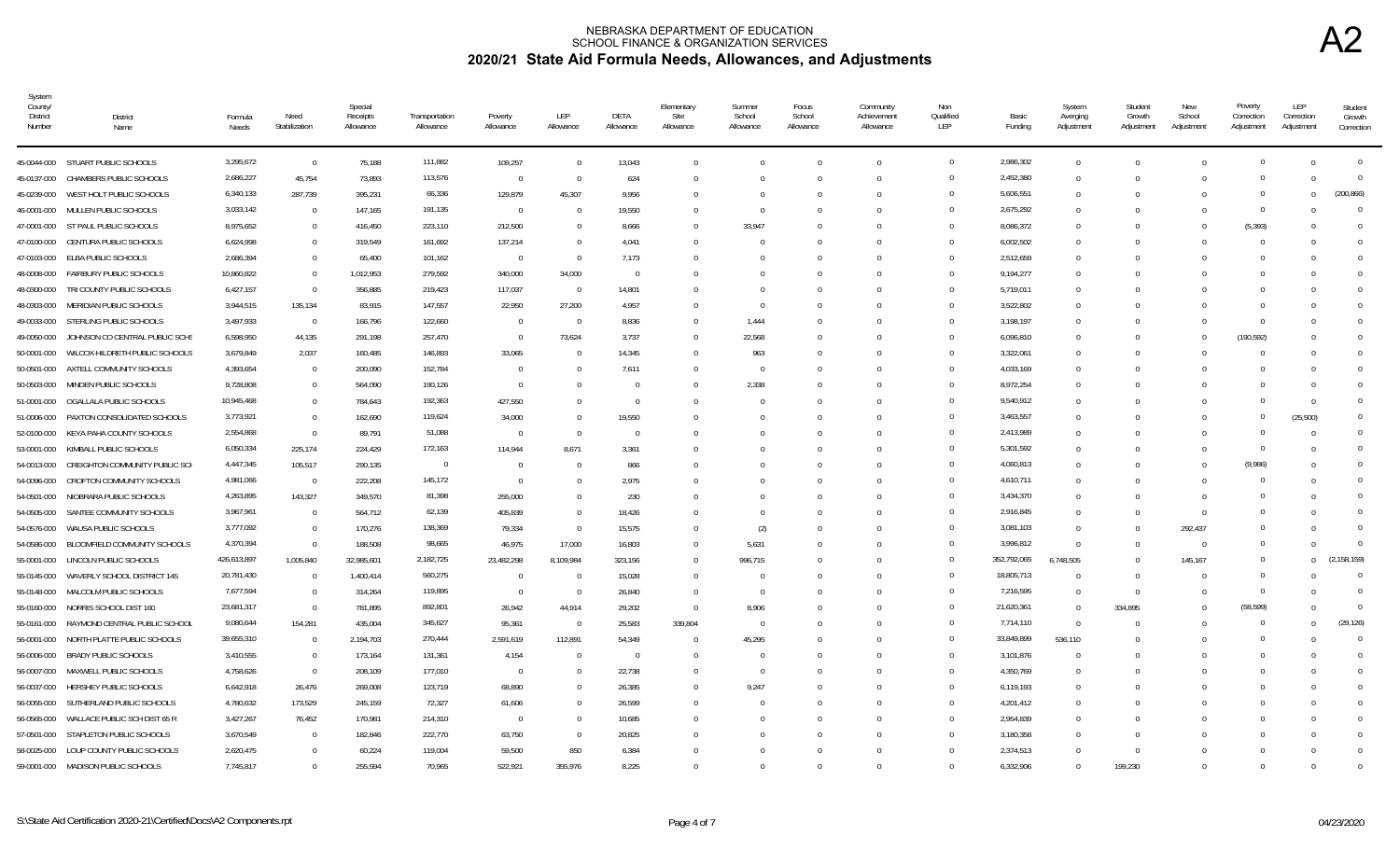| System<br>County/<br><b>District</b><br>Number | <b>District</b><br>Name                  | Formula<br>Needs | Need<br>Stabilization | Special<br>Receipts<br>Allowance | Transportation<br>Allowance | Poverty<br>Allowance | LEP<br>Allowance | DETA<br>Allowance | Elementary<br>Site<br>Allowance | Summer<br>School<br>Allowance | Focus<br>School<br>Allowance | Community<br>Achievement<br>Allowance | Non<br>Qualified<br>LEP | Basic<br>Funding | System<br>Averging<br>Adjustment | Student<br>Growth<br>Adjustment | New<br>School<br>Adjustment | Poverty<br>Correction<br>Adjustment | LEP<br>Correction<br>Adjustment | Student<br>Growth<br>Correction |
|------------------------------------------------|------------------------------------------|------------------|-----------------------|----------------------------------|-----------------------------|----------------------|------------------|-------------------|---------------------------------|-------------------------------|------------------------------|---------------------------------------|-------------------------|------------------|----------------------------------|---------------------------------|-----------------------------|-------------------------------------|---------------------------------|---------------------------------|
|                                                | 45-0044-000 STUART PUBLIC SCHOOLS        | 3,295,672        | $\overline{0}$        | 75,188                           | 111,882                     | 109,257              | $\Omega$         | 13,043            | $\Omega$                        |                               |                              | $\Omega$                              | $\overline{0}$          | 2,986,302        | $\Omega$                         | $\Omega$                        |                             | $\Omega$                            | $\Omega$                        | $\overline{0}$                  |
| 45-0137-000                                    | CHAMBERS PUBLIC SCHOOLS                  | 2,686,227        | 45,754                | 73,893                           | 113,576                     | $\Omega$             | $\Omega$         | 624               | $\Omega$                        |                               | $\Omega$                     | $\Omega$                              | $\overline{0}$          | 2,452,380        | $\Omega$                         | $\Omega$                        |                             | $\Omega$                            | $\Omega$                        | $\Omega$                        |
| 45-0239-000                                    | WEST HOLT PUBLIC SCHOOLS                 | 6,340,133        | 287,739               | 395,231                          | 66,336                      | 129,879              | 45,307           | 9,956             |                                 |                               | 0                            | $\Omega$                              | $\overline{0}$          | 5,606,551        | $\Omega$                         |                                 |                             | $\cap$                              | $\Omega$                        | (200.866)                       |
| 46-0001-000                                    | MULLEN PUBLIC SCHOOLS                    | 3,033,142        | $\overline{0}$        | 147,165                          | 191,135                     | $\overline{0}$       |                  | 19,550            |                                 |                               |                              |                                       | $\Omega$                | 2,675,292        | - 0                              |                                 |                             | $\Omega$                            |                                 | $\Omega$                        |
|                                                | 47-0001-000 ST PAUL PUBLIC SCHOOLS       | 8,975,652        | $\Omega$              | 416,450                          | 223,110                     | 212,500              |                  | 8,666             | $\Omega$                        | 33,947                        | $\Omega$                     | $\cap$                                | $\overline{0}$          | 8,086,372        | $\cap$                           |                                 |                             | (5, 393)                            |                                 | $\Omega$                        |
|                                                | 47-0100-000 CENTURA PUBLIC SCHOOLS       | 6,624,998        | $\Omega$              | 319,549                          | 161,692                     | 137,214              | $\Omega$         | 4,041             | $\Omega$                        |                               | $\Omega$                     | $\cap$                                | $\Omega$                | 6,002,502        | $\Omega$                         | $\cap$                          |                             | $\cap$                              | $\Omega$                        |                                 |
| 47-0103-000                                    | ELBA PUBLIC SCHOOLS                      | 2,686,394        | $\Omega$              | 65,400                           | 101,162                     | $\Omega$             | $\bigcap$        | 7,173             |                                 |                               |                              | $\Omega$                              | $\Omega$                | 2,512,659        | $\Omega$                         |                                 |                             |                                     |                                 | $\Omega$                        |
| 48-0008-000                                    | <b>FAIRBURY PUBLIC SCHOOLS</b>           | 10,860,822       | $\Omega$              | 1,012,953                        | 279,592                     | 340,000              | 34,000           | $\Omega$          |                                 |                               |                              |                                       | $\Omega$                | 9,194,277        | $\Omega$                         |                                 |                             |                                     |                                 |                                 |
| 48-0300-000                                    | TRI COUNTY PUBLIC SCHOOLS                | 6,427,157        | $\Omega$              | 356,885                          | 219,423                     | 117,037              | $\Omega$         | 14,801            |                                 |                               |                              |                                       | $\overline{0}$          | 5,719,011        | $\Omega$                         |                                 |                             |                                     |                                 | 0                               |
| 48-0303-000                                    | MERIDIAN PUBLIC SCHOOLS                  | 3,944,515        | 135,134               | 83,915                           | 147,557                     | 22,950               | 27,200           | 4,957             |                                 |                               |                              |                                       | $\overline{0}$          | 3,522,802        |                                  |                                 |                             |                                     |                                 |                                 |
| 49-0033-000                                    | STERLING PUBLIC SCHOOLS                  | 3,497,933        | $\Omega$              | 166,796                          | 122,660                     | $\Omega$             | $\bigcap$        | 8,836             | $\Omega$                        | 1,444                         |                              |                                       | $\Omega$                | 3,198,197        |                                  |                                 |                             |                                     |                                 | $\Omega$                        |
| 49-0050-000                                    | JOHNSON CO CENTRAL PUBLIC SCHS           | 6,598,950        | 44,135                | 291,198                          | 257,470                     | $\Omega$             | 73,624           | 3,737             |                                 | 22,568                        |                              |                                       | $\Omega$                | 6,096,810        |                                  |                                 |                             | (190, 592)                          |                                 |                                 |
| 50-0001-000                                    | WILCOX-HILDRETH PUBLIC SCHOOLS           | 3,679,849        | 2,037                 | 160,485                          | 146,893                     | 33,065               | - 0              | 14,345            |                                 | 963                           |                              |                                       | $\Omega$                | 3,322,061        |                                  |                                 |                             |                                     |                                 |                                 |
| 50-0501-000                                    | AXTELL COMMUNITY SCHOOLS                 | 4,393,654        | $\Omega$              | 200,090                          | 152,784                     | $\Omega$             |                  | 7,611             |                                 |                               |                              |                                       | $\overline{0}$          | 4,033,169        |                                  |                                 |                             |                                     |                                 | $\Omega$                        |
| 50-0503-000                                    | MINDEN PUBLIC SCHOOLS                    | 9,728,808        | $\overline{0}$        | 564,090                          | 190,126                     | $\Omega$             |                  | $\Omega$          |                                 | 2,338                         |                              |                                       | $\overline{0}$          | 8,972,254        | - 0                              |                                 |                             |                                     |                                 | $\Omega$                        |
| 51-0001-000                                    | OGALLALA PUBLIC SCHOOLS                  | 10,945,468       | $\overline{0}$        | 784,643                          | 192,363                     | 427,550              |                  | $\overline{0}$    |                                 |                               |                              |                                       | $\overline{0}$          | 9,540,912        |                                  |                                 |                             | $\cap$                              | $\Omega$                        | $\Omega$                        |
| 51-0006-000                                    | PAXTON CONSOLIDATED SCHOOLS              | 3,773,921        | $\Omega$              | 162,690                          | 119,624                     | 34,000               |                  | 19,550            |                                 |                               |                              |                                       | $\overline{0}$          | 3,463,557        |                                  |                                 |                             | $\Omega$                            | (25, 500)                       | $\Omega$                        |
| 52-0100-000                                    | KEYA PAHA COUNTY SCHOOLS                 | 2,554,868        | $\Omega$              | 89,791                           | 51,088                      | $\Omega$             | $\bigcap$        | $\Omega$          |                                 |                               |                              |                                       | $\overline{0}$          | 2,413,989        |                                  |                                 |                             | $\cap$                              |                                 | $\Omega$                        |
| 53-0001-000                                    | KIMBALL PUBLIC SCHOOLS                   | 6,050,334        | 225,174               | 224,429                          | 172,163                     | 114,944              | 8,671            | 3,361             |                                 |                               |                              |                                       | $\Omega$                | 5,301,592        |                                  |                                 |                             |                                     |                                 | $\Omega$                        |
| 54-0013-000                                    | CREIGHTON COMMUNITY PUBLIC SCH           | 4,447,345        | 105,517               | 290,135                          | $\overline{0}$              | $\Omega$             |                  | 866               |                                 |                               |                              |                                       | $\Omega$                | 4,060,813        |                                  |                                 |                             | (9,986)                             |                                 | $\Omega$                        |
| 54-0096-000                                    | CROFTON COMMUNITY SCHOOLS                | 4,981,066        | $\Omega$              | 222,208                          | 145,172                     | $\Omega$             |                  | 2,975             |                                 |                               |                              |                                       | $\Omega$                | 4,610,711        |                                  |                                 |                             |                                     |                                 | <sup>0</sup>                    |
| 54-0501-000                                    | NIOBRARA PUBLIC SCHOOLS                  | 4,263,895        | 143,327               | 349,570                          | 81,398                      | 255,000              | - 0              | 230               |                                 |                               | <sup>n</sup>                 | $\cap$                                | $\overline{0}$          | 3,434,370        | $\cap$                           | - 0                             |                             |                                     |                                 |                                 |
| 54-0505-000                                    | SANTEE COMMUNITY SCHOOLS                 | 3,967,961        | $\Omega$              | 564,712                          | 62,139                      | 405,839              |                  | 18,426            |                                 |                               |                              |                                       | $\Omega$                | 2,916,845        | - 0                              | - 0                             | <sup>0</sup>                |                                     |                                 | $\Omega$                        |
| 54-0576-000                                    | WAUSA PUBLIC SCHOOLS                     | 3,777,092        | $\Omega$              | 170,276                          | 138,369                     | 79,334               | $\bigcap$        | 15.575            | $\Omega$                        | (2)                           | $\Omega$                     |                                       | $\Omega$                | 3,081,103        | $\Omega$                         | $\Omega$                        | 292,437                     |                                     | $\Omega$                        | $\Omega$                        |
|                                                | 54-0586-000 BLOOMFIELD COMMUNITY SCHOOLS | 4,370,394        | $\Omega$              | 188,508                          | 98,665                      | 46,975               | 17,000           | 16,803            | $\Omega$                        | 5,631                         | $\Omega$                     | $\Omega$                              | $\Omega$                | 3,996,812        | $\Omega$                         | $\Omega$                        | $\Omega$                    |                                     |                                 |                                 |
| 55-0001-000                                    | LINCOLN PUBLIC SCHOOLS                   | 426,613,897      | 1,005,840             | 32,985,601                       | 2,182,725                   | 23,482,298           | 8,109,984        | 323,156           | 0                               | 996,715                       |                              |                                       | $\overline{0}$          | 352,792,065      | 6,748,505                        | $\Omega$                        | 145,167                     | $\Omega$                            | $\Omega$                        | (2, 158, 159)                   |
| 55-0145-000                                    | WAVERLY SCHOOL DISTRICT 145              | 20,781,430       | $\Omega$              | 1,400,414                        | 560,275                     | $\Omega$             |                  | 15,028            |                                 |                               |                              |                                       | $\Omega$                | 18,805,713       |                                  |                                 |                             | $\Omega$                            |                                 | $\overline{0}$                  |
| 55-0148-000                                    | MALCOLM PUBLIC SCHOOLS                   | 7,677,594        | $\Omega$              | 314,264                          | 119,895                     | $\Omega$             | - 0              | 26,840            | $\Omega$                        | - 0                           |                              |                                       | $\overline{0}$          | 7,216,595        | $\Omega$                         | $\Omega$                        |                             | $\Omega$                            |                                 | $\Omega$                        |
| 55-0160-000                                    | NORRIS SCHOOL DIST 160                   | 23,681,317       | $\Omega$              | 781,895                          | 892,801                     | 26,942               | 44,914           | 29,202            | $\overline{0}$                  | 8,906                         |                              |                                       | $\overline{0}$          | 21,620,361       | $\Omega$                         | 334,895                         |                             | (58, 599)                           |                                 | $\Omega$                        |
| 55-0161-000                                    | RAYMOND CENTRAL PUBLIC SCHOOL            | 9,080,644        | 154,281               | 435,004                          | 345,627                     | 95,361               | $\Omega$         | 25,583            | 339,804                         | $\Omega$                      | $\Omega$                     | $\Omega$                              | $\overline{0}$          | 7,714,110        | $\cap$                           | $\Omega$                        |                             | $\cap$                              | $\Omega$                        | (29, 126)                       |
| 56-0001-000                                    | NORTH PLATTE PUBLIC SCHOOLS              | 39,655,310       | $\Omega$              | 2,194,703                        | 270,444                     | 2,591,619            | 112,891          | 54,349            | $\Omega$                        | 45,295                        |                              |                                       | $\overline{0}$          | 33,849,899       | 536,110                          |                                 |                             | $\Omega$                            |                                 | $\mathbf 0$                     |
|                                                | 56-0006-000 BRADY PUBLIC SCHOOLS         | 3,410,555        | $\Omega$              | 173,164                          | 131,361                     | 4,154                | $\Omega$         | $\Omega$          | $\Omega$                        | - 0                           | $\Omega$                     | $\Omega$                              | $\Omega$                | 3,101,876        | - 0                              | - 0                             |                             |                                     | $\Omega$                        | $\Omega$                        |
| 56-0007-000                                    | MAXWELL PUBLIC SCHOOLS                   | 4,758,626        | $\Omega$              | 208,109                          | 177,010                     | $\overline{0}$       | - 0              | 22,738            | $\Omega$                        | - 0                           | $\Omega$                     | $\Omega$                              | $\overline{0}$          | 4,350,769        | $\Omega$                         | - 0                             |                             |                                     |                                 | $\Omega$                        |
|                                                | 56-0037-000 HERSHEY PUBLIC SCHOOLS       | 6,642,918        | 26,476                | 269,008                          | 123,719                     | 68,890               |                  | 26,385            |                                 | 9,247                         |                              |                                       | $\mathbf{0}$            | 6,119,193        | $\Omega$                         |                                 |                             |                                     |                                 |                                 |
| 56-0055-000                                    | SUTHERLAND PUBLIC SCHOOLS                | 4,780,632        | 173,529               | 245,159                          | 72,327                      | 61,606               |                  | 26,599            |                                 |                               |                              |                                       | $\Omega$                | 4,201,412        | $\Omega$                         |                                 |                             |                                     |                                 |                                 |
| 56-0565-000                                    | WALLACE PUBLIC SCH DIST 65 R             | 3,427,267        | 76,452                | 170,981                          | 214,310                     | $\Omega$             |                  | 10,685            |                                 |                               |                              | n                                     | $\Omega$                | 2,954,839        | $\Omega$                         | - ( )                           |                             |                                     |                                 |                                 |
|                                                | 57-0501-000 STAPLETON PUBLIC SCHOOLS     | 3,670,549        | $\overline{0}$        | 182,846                          | 222,770                     | 63,750               |                  | 20,825            |                                 |                               |                              |                                       | $\Omega$                | 3,180,358        |                                  |                                 |                             |                                     |                                 | 0                               |
|                                                | 58-0025-000 LOUP COUNTY PUBLIC SCHOOLS   | 2,620,475        | $\Omega$              | 60,224                           | 119,004                     | 59,500               | 850              | 6,384             |                                 |                               |                              |                                       | $\Omega$                | 2,374,513        |                                  | $\Omega$                        |                             |                                     |                                 | $\Omega$                        |
|                                                | 59-0001-000 MADISON PUBLIC SCHOOLS       | 7,745,817        | $\Omega$              | 255,594                          | 70,965                      | 522,921              | 355,976          | 8,225             |                                 |                               |                              |                                       | $\Omega$                | 6,332,906        |                                  | 199,230                         |                             |                                     |                                 |                                 |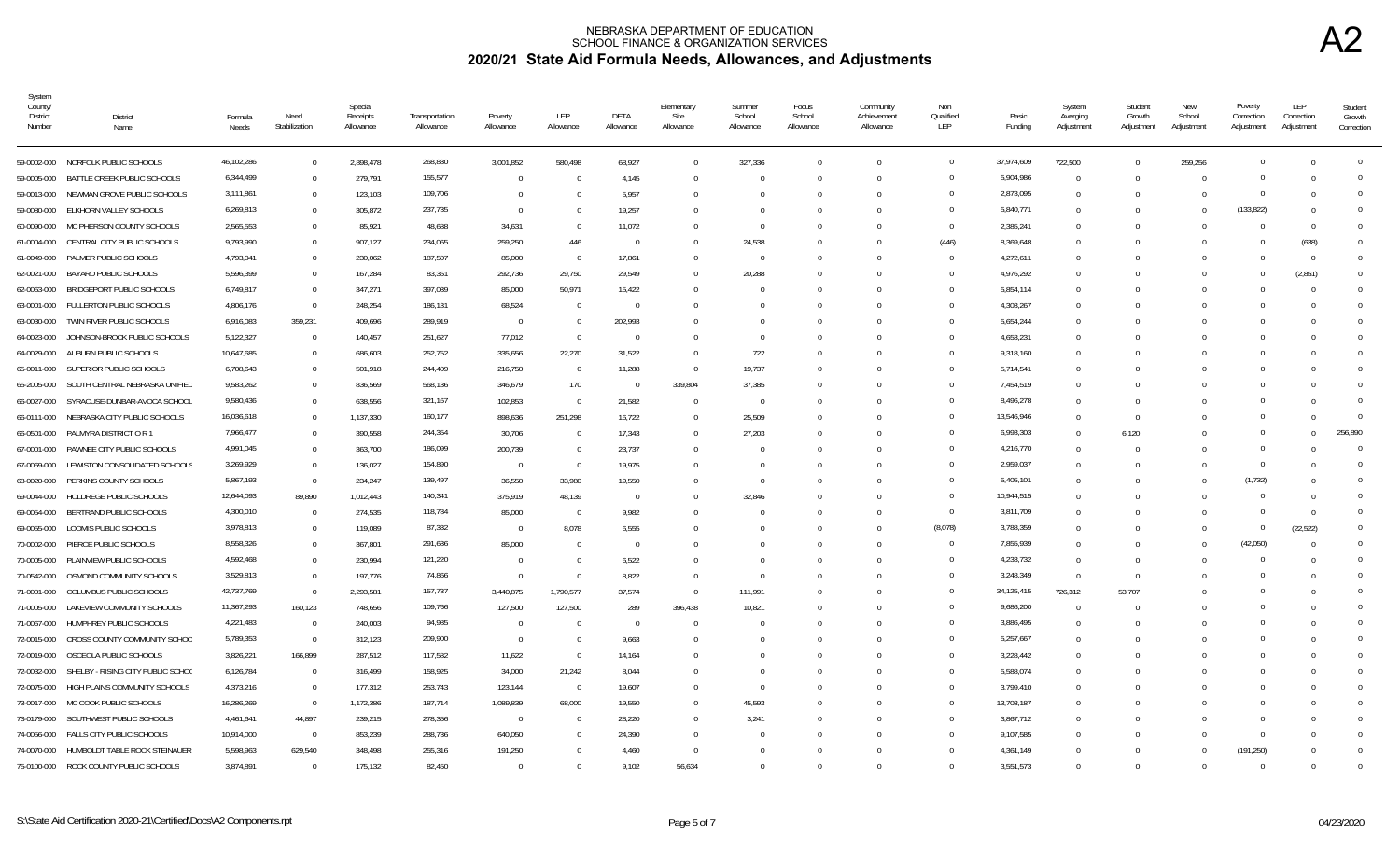| System<br>County<br><b>District</b><br>Number | District<br>Name                              | Formula<br>Needs | Need<br>Stabilization | Special<br>Receipts<br>Allowance | Transportation<br>Allowance | Poverty<br>Allowance | LEP<br>Allowance | DETA<br>Allowance | Elementary<br>Site<br>Allowance | Summer<br>School<br>Allowance | Focus<br>School<br>Allowance | Community<br>Achievement<br>Allowance | Non<br>Qualified<br>LEP | Basic<br>Funding | System<br>Averging<br>Adjustment | Student<br>Growth<br>Adjustment | <b>New</b><br>School<br>Adjustment | Poverty<br>Correction<br>Adjustment | LEP<br>Correction<br>Adjustment | Student<br>Growth<br>Correction |
|-----------------------------------------------|-----------------------------------------------|------------------|-----------------------|----------------------------------|-----------------------------|----------------------|------------------|-------------------|---------------------------------|-------------------------------|------------------------------|---------------------------------------|-------------------------|------------------|----------------------------------|---------------------------------|------------------------------------|-------------------------------------|---------------------------------|---------------------------------|
|                                               | 59-0002-000 NORFOLK PUBLIC SCHOOLS            | 46,102,286       | $\overline{0}$        | 2,898,478                        | 268,830                     | 3,001,852            | 580,498          | 68,927            | $\Omega$                        | 327,336                       | $\Omega$                     | $\Omega$                              | $\overline{0}$          | 37,974,609       | 722,500                          | $\Omega$                        | 259,256                            | $\Omega$                            | $\Omega$                        | $\Omega$                        |
|                                               | 59-0005-000 BATTLE CREEK PUBLIC SCHOOLS       | 6,344,499        | $\Omega$              | 279,791                          | 155,577                     | $\Omega$             |                  | 4,145             | U                               |                               |                              | $\cap$                                | $\mathbf{0}$            | 5,904,986        | $\cap$                           | $\cap$                          |                                    |                                     |                                 |                                 |
|                                               | 59-0013-000 NEWMAN GROVE PUBLIC SCHOOLS       | 3,111,861        | $\overline{0}$        | 123,103                          | 109,706                     | $\Omega$             |                  | 5,957             | <sup>0</sup>                    |                               |                              | $\cap$                                | $\Omega$                | 2,873,095        | - 0                              | - 0                             |                                    |                                     |                                 | $\Omega$                        |
| 59-0080-000                                   | ELKHORN VALLEY SCHOOLS                        | 6,269,813        | $\Omega$              | 305,872                          | 237,735                     | $\Omega$             |                  | 19,257            |                                 |                               |                              |                                       | $\Omega$                | 5,840,771        |                                  |                                 |                                    | (133, 822)                          |                                 |                                 |
| 60-0090-000                                   | MC PHERSON COUNTY SCHOOLS                     | 2,565,553        | $\Omega$              | 85,921                           | 48,688                      | 34,631               | $\Omega$         | 11,072            | $\Omega$                        |                               |                              |                                       | $\Omega$                | 2,385,241        | $\Omega$                         |                                 |                                    |                                     | $\Omega$                        |                                 |
| 61-0004-000                                   | CENTRAL CITY PUBLIC SCHOOLS                   | 9,793,990        | $\Omega$              | 907,127                          | 234,065                     | 259,250              | 446              | $\Omega$          | $\Omega$                        | 24,538                        | $\Omega$                     |                                       | (446)                   | 8,369,648        |                                  |                                 |                                    |                                     | (638)                           |                                 |
| 61-0049-000                                   | PALMER PUBLIC SCHOOLS                         | 4,793,041        | $\Omega$              | 230,062                          | 187,507                     | 85,000               | $\Omega$         | 17,861            | 0                               |                               |                              |                                       | $\overline{0}$          | 4,272,611        | $\Omega$                         |                                 |                                    |                                     | $\Omega$                        | 0                               |
| 62-0021-000                                   | BAYARD PUBLIC SCHOOLS                         | 5,596,399        | $\Omega$              | 167,284                          | 83,351                      | 292,736              | 29,750           | 29,549            |                                 | 20,288                        |                              |                                       | $\overline{0}$          | 4,976,292        |                                  |                                 |                                    |                                     | (2,851)                         | $\Omega$                        |
| 62-0063-000                                   | BRIDGEPORT PUBLIC SCHOOLS                     | 6,749,817        | $\overline{0}$        | 347,271                          | 397,039                     | 85,000               | 50,971           | 15,422            |                                 |                               |                              |                                       | $\overline{0}$          | 5,854,114        |                                  |                                 |                                    |                                     |                                 | $\Omega$                        |
| 63-0001-000                                   | FULLERTON PUBLIC SCHOOLS                      | 4,806,176        | $\overline{0}$        | 248,254                          | 186,131                     | 68,524               | $\bigcap$        | $\Omega$          |                                 |                               |                              |                                       | $\overline{0}$          | 4,303,267        |                                  |                                 |                                    |                                     |                                 | $\Omega$                        |
| 63-0030-000                                   | TWIN RIVER PUBLIC SCHOOLS                     | 6,916,083        | 359,231               | 409,696                          | 289,919                     | $\overline{0}$       | - 0              | 202,993           |                                 |                               |                              |                                       | $\Omega$                | 5,654,244        |                                  |                                 |                                    |                                     |                                 | $\Omega$                        |
| 64-0023-000                                   | JOHNSON-BROCK PUBLIC SCHOOLS                  | 5,122,327        | $\overline{0}$        | 140,457                          | 251,627                     | 77,012               | $\Omega$         | $\Omega$          |                                 |                               |                              |                                       | $\overline{0}$          | 4,653,231        |                                  |                                 |                                    |                                     |                                 | $\Omega$                        |
| 64-0029-000                                   | AUBURN PUBLIC SCHOOLS                         | 10,647,685       | $\Omega$              | 686,603                          | 252,752                     | 335,656              | 22,270           | 31,522            | $\Omega$                        | 722                           | $\Omega$                     | $\Omega$                              | $\Omega$                | 9,318,160        | $\Omega$                         |                                 |                                    |                                     | $\Omega$                        |                                 |
| 65-0011-000                                   | SUPERIOR PUBLIC SCHOOLS                       | 6,708,643        | $\Omega$              | 501,918                          | 244,409                     | 216,750              | $\Omega$         | 11,288            | $\Omega$                        | 19,737                        | $\Omega$                     | $\Omega$                              | $\Omega$                | 5,714,541        | $\Omega$                         |                                 |                                    |                                     |                                 | <sup>0</sup>                    |
| 65-2005-000                                   | SOUTH CENTRAL NEBRASKA UNIFIED                | 9,583,262        | $\Omega$              | 836,569                          | 568,136                     | 346,679              | 170              | $\Omega$          | 339,804                         | 37,385                        |                              |                                       | $\Omega$                | 7,454,519        | - 0                              |                                 |                                    |                                     |                                 |                                 |
| 66-0027-000                                   | SYRACUSE-DUNBAR-AVOCA SCHOOL                  | 9,580,436        | $\Omega$              | 638,556                          | 321,167                     | 102,853              | $\Omega$         | 21,582            | $\Omega$                        | $\Omega$                      | $\Omega$                     | $\Omega$                              | $\Omega$                | 8,496,278        | $\Omega$                         | - 0                             |                                    |                                     | $\cap$                          |                                 |
|                                               | 66-0111-000 NEBRASKA CITY PUBLIC SCHOOLS      | 16,036,618       | $\Omega$              | 1,137,330                        | 160,177                     | 898,636              | 251,298          | 16,722            | $\Omega$                        | 25,509                        |                              |                                       | $\Omega$                | 13,546,946       |                                  | $\Omega$                        |                                    |                                     |                                 | $\Omega$                        |
| 66-0501-000                                   | PALMYRA DISTRICT O R 1                        | 7,966,477        | $\Omega$              | 390,558                          | 244,354                     | 30,706               |                  | 17,343            | $\Omega$                        | 27,203                        |                              |                                       | $\overline{0}$          | 6,993,303        | $\Omega$                         | 6.120                           |                                    |                                     |                                 | 256.890                         |
|                                               | 67-0001-000 PAWNEE CITY PUBLIC SCHOOLS        | 4,991,045        | $\Omega$              | 363,700                          | 186,099                     | 200,739              |                  | 23,737            |                                 |                               |                              |                                       | $\overline{0}$          | 4,216,770        |                                  | $\Omega$                        |                                    |                                     |                                 | $\mathbf 0$                     |
| 67-0069-000                                   | LEWISTON CONSOLIDATED SCHOOLS                 | 3,269,929        | $\Omega$              | 136,027                          | 154,890                     | $\Omega$             | - 0              | 19,975            |                                 |                               |                              |                                       | $\Omega$                | 2,959,037        |                                  |                                 |                                    | $\Omega$                            |                                 | $\Omega$                        |
| 68-0020-000                                   | PERKINS COUNTY SCHOOLS                        | 5,867,193        | $\Omega$              | 234,247                          | 139,497                     | 36,550               | 33,980           | 19,550            |                                 |                               |                              |                                       | $\overline{0}$          | 5,405,101        |                                  |                                 |                                    | (1, 732)                            |                                 | $\Omega$                        |
| 69-0044-000                                   | HOLDREGE PUBLIC SCHOOLS                       | 12,644,093       | 89,890                | 1,012,443                        | 140,341                     | 375,919              | 48,139           | $\Omega$          | $\Omega$                        | 32,846                        |                              |                                       | $\overline{0}$          | 10,944,515       | $\Omega$                         | - 0                             |                                    |                                     |                                 | $\Omega$                        |
| 69-0054-000                                   | BERTRAND PUBLIC SCHOOLS                       | 4,300,010        | $\overline{0}$        | 274,535                          | 118,784                     | 85,000               | $\Omega$         | 9,982             |                                 |                               |                              |                                       | $\overline{0}$          | 3,811,709        |                                  |                                 |                                    | $\Omega$                            | $\Omega$                        | $\Omega$                        |
| 69-0055-000                                   | LOOMIS PUBLIC SCHOOLS                         | 3,978,813        | $\overline{0}$        | 119,089                          | 87,332                      | $\Omega$             | 8,078            | 6,555             |                                 |                               |                              | $\Omega$                              | (8,078)                 | 3,788,359        | $\Omega$                         | $\Omega$                        |                                    | $\Omega$                            | (22, 522)                       |                                 |
| 70-0002-000                                   | PIERCE PUBLIC SCHOOLS                         | 8,558,326        | $\overline{0}$        | 367,801                          | 291,636                     | 85,000               | $\bigcap$        | $\Omega$          |                                 |                               | $\Omega$                     | $\Omega$                              | $\overline{0}$          | 7,855,939        | $\Omega$                         | $\Omega$                        |                                    | (42,050)                            |                                 | $\Omega$                        |
|                                               | 70-0005-000 PLAINVIEW PUBLIC SCHOOLS          | 4,592,468        | $\Omega$              | 230,994                          | 121,220                     | $\Omega$             |                  | 6,522             |                                 |                               |                              |                                       | $\overline{0}$          | 4,233,732        |                                  | - 0                             |                                    |                                     |                                 |                                 |
| 70-0542-000                                   | OSMOND COMMUNITY SCHOOLS                      | 3,529,813        | $\Omega$              | 197,776                          | 74,866                      | $\Omega$             | $\bigcap$        | 8,822             | $\Omega$                        |                               |                              |                                       | $\Omega$                | 3,248,349        | $\Omega$                         | $\Omega$                        |                                    |                                     |                                 | <sup>n</sup>                    |
|                                               | 71-0001-000 COLUMBUS PUBLIC SCHOOLS           | 42,737,769       | $\Omega$              | 2,293,581                        | 157,737                     | 3,440,875            | 1,790,577        | 37,574            | $\bigcap$                       | 111,991                       |                              |                                       | $\Omega$                | 34,125,415       | 726,312                          | 53,707                          |                                    |                                     |                                 |                                 |
| 71-0005-000                                   | LAKEVIEW COMMUNITY SCHOOLS                    | 11,367,293       | 160,123               | 748,656                          | 109,766                     | 127,500              | 127,500          | 289               | 396,438                         | 10,821                        |                              | $\Omega$                              | $\Omega$                | 9,686,200        |                                  |                                 |                                    |                                     |                                 | $\Omega$                        |
| 71-0067-000                                   | HUMPHREY PUBLIC SCHOOLS                       | 4,221,483        | $\Omega$              | 240,003                          | 94,985                      | $\Omega$             |                  | $\Omega$          |                                 |                               |                              |                                       | $\Omega$                | 3,886,495        |                                  |                                 |                                    |                                     |                                 | $\Omega$                        |
| 72-0015-000                                   | CROSS COUNTY COMMUNITY SCHOO                  | 5,789,353        | $\Omega$              | 312,123                          | 209,900                     | $\Omega$             | $\bigcap$        | 9,663             |                                 |                               |                              |                                       | $\Omega$                | 5,257,667        | $\Omega$                         |                                 |                                    |                                     |                                 |                                 |
|                                               | 72-0019-000 OSCEOLA PUBLIC SCHOOLS            | 3,826,221        | 166,899               | 287,512                          | 117,582                     | 11,622               | - 0              | 14,164            |                                 |                               |                              |                                       | $\overline{0}$          | 3,228,442        |                                  |                                 |                                    |                                     |                                 |                                 |
|                                               | 72-0032-000 SHELBY - RISING CITY PUBLIC SCHOO | 6,126,784        | $\Omega$              | 316,499                          | 158,925                     | 34,000               | 21,242           | 8,044             |                                 |                               |                              |                                       | $\overline{0}$          | 5,588,074        |                                  |                                 |                                    |                                     |                                 |                                 |
| 72-0075-000                                   | HIGH PLAINS COMMUNITY SCHOOLS                 | 4,373,216        | $\overline{0}$        | 177,312                          | 253,743                     | 123,144              | - 0              | 19,607            |                                 |                               |                              |                                       | $\overline{0}$          | 3,799,410        |                                  |                                 |                                    |                                     |                                 | $\Omega$                        |
|                                               | 73-0017-000 MC COOK PUBLIC SCHOOLS            | 16,286,269       | $\Omega$              | 1,172,386                        | 187,714                     | 1,089,839            | 68,000           | 19,550            |                                 | 45,593                        |                              |                                       | $\overline{0}$          | 13,703,187       |                                  |                                 |                                    |                                     |                                 |                                 |
|                                               | 73-0179-000 SOUTHWEST PUBLIC SCHOOLS          | 4,461,641        | 44,897                | 239,215                          | 278,356                     | $\Omega$             |                  | 28,220            | $\Omega$                        | 3,241                         |                              |                                       | $\overline{0}$          | 3,867,712        |                                  |                                 |                                    |                                     |                                 | $\Omega$                        |
| 74-0056-000                                   | FALLS CITY PUBLIC SCHOOLS                     | 10,914,000       | $\Omega$              | 853,239                          | 288,736                     | 640,050              |                  | 24,390            | 0                               |                               |                              |                                       | $\overline{0}$          | 9,107,585        |                                  |                                 |                                    | $\Omega$                            |                                 | $\Omega$                        |
| 74-0070-000                                   | HUMBOLDT TABLE ROCK STEINAUER                 | 5,598,963        | 629,540               | 348,498                          | 255,316                     | 191,250              |                  | 4,460             | $\Omega$                        |                               |                              |                                       | $\Omega$                | 4,361,149        |                                  |                                 |                                    | (191, 250)                          |                                 | $\Omega$                        |
|                                               | 75-0100-000 ROCK COUNTY PUBLIC SCHOOLS        | 3,874,891        | $\Omega$              | 175,132                          | 82,450                      | $\Omega$             |                  | 9,102             | 56,634                          |                               |                              |                                       | $\Omega$                | 3,551,573        |                                  | - 0                             |                                    |                                     | $\Omega$                        |                                 |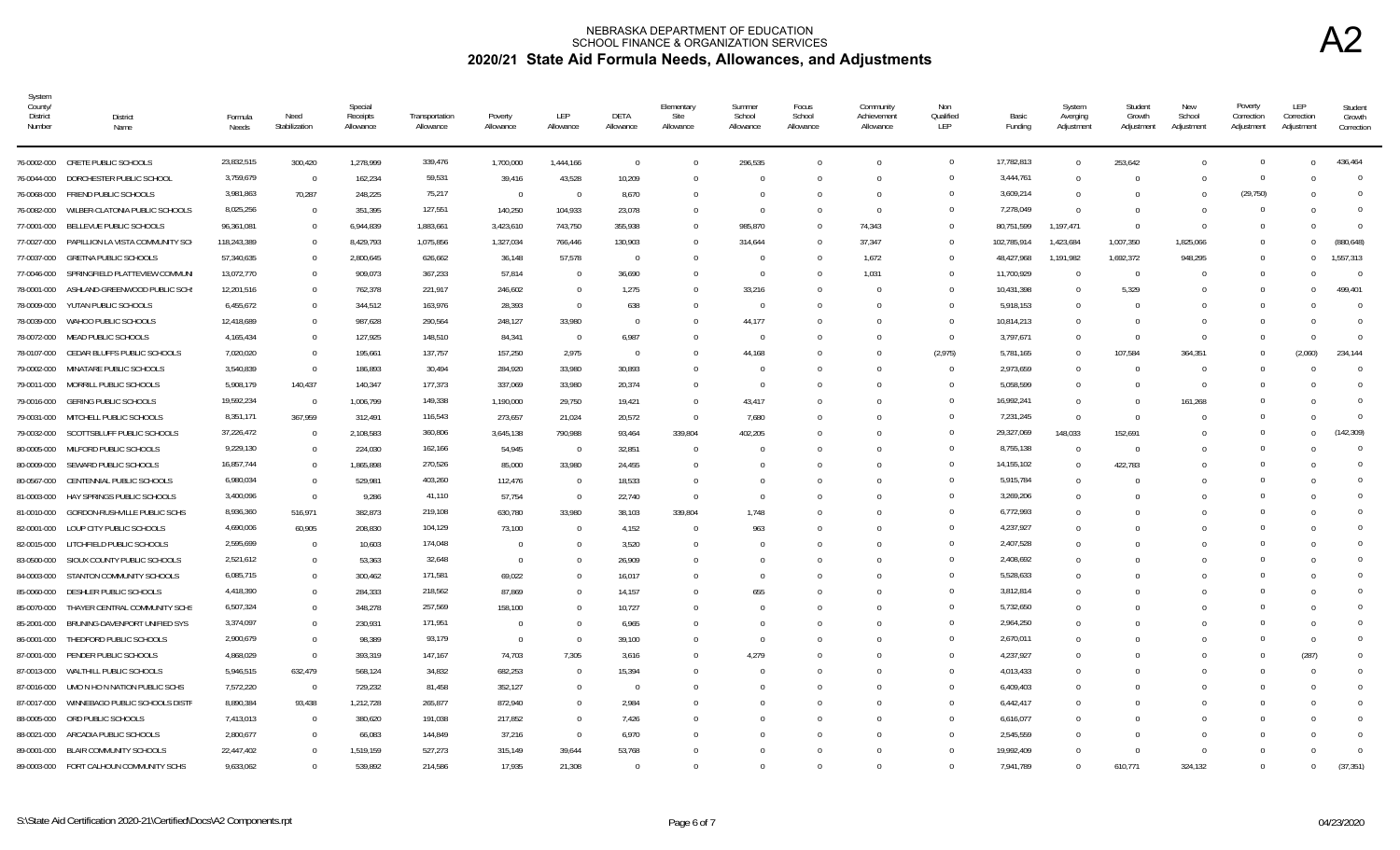| System<br>County/<br><b>District</b><br>Number | <b>District</b><br>Name                      | Formula<br>Needs | Need<br>Stabilization | Special<br>Receipts<br>Allowance | Transportation<br>Allowance | Poverty<br>Allowance | LEP<br>Allowance | DETA<br>Allowance | Elementary<br>Site<br>Allowance | Summer<br>School<br>Allowance | Focus<br>School<br>Allowance | Community<br>Achievement<br>Allowance | Non<br>Qualified<br>LEP | Basic<br>Funding | System<br>Averging<br>Adjustment | Student<br>Growth<br>Adjustment | New<br>School<br>Adjustment | Poverty<br>Correction<br>Adjustment | LEP<br>Correction<br>Adjustment | Student<br>Growth<br>Correction |
|------------------------------------------------|----------------------------------------------|------------------|-----------------------|----------------------------------|-----------------------------|----------------------|------------------|-------------------|---------------------------------|-------------------------------|------------------------------|---------------------------------------|-------------------------|------------------|----------------------------------|---------------------------------|-----------------------------|-------------------------------------|---------------------------------|---------------------------------|
|                                                | 76-0002-000 CRETE PUBLIC SCHOOLS             | 23,832,515       | 300,420               | 1,278,999                        | 339,476                     | 1,700,000            | 1,444,166        | $\overline{0}$    | $\Omega$                        | 296,535                       |                              | $\Omega$                              | $\overline{0}$          | 17,782,813       | $\Omega$                         | 253,642                         |                             | $\Omega$                            | $\Omega$                        | 436.464                         |
| 76-0044-000                                    | DORCHESTER PUBLIC SCHOOL                     | 3,759,679        | $\Omega$              | 162,234                          | 59,531                      | 39,416               | 43,528           | 10,209            | $\Omega$                        | - 0                           | $\Omega$                     | $\Omega$                              | $\Omega$                | 3,444,761        | $\Omega$                         | $\Omega$                        | <sup>0</sup>                | $\Omega$                            |                                 | $\Omega$                        |
| 76-0068-000                                    | FRIEND PUBLIC SCHOOLS                        | 3,981,863        | 70,287                | 248,225                          | 75,217                      | $\overline{0}$       | - 0              | 8,670             | 0                               |                               | $\Omega$                     | $\Omega$                              | $\overline{0}$          | 3,609,214        |                                  |                                 |                             | (29, 750)                           |                                 | $\Omega$                        |
| 76-0082-000                                    | WILBER-CLATONIA PUBLIC SCHOOLS               | 8,025,256        | $\overline{0}$        | 351,395                          | 127,551                     | 140,250              | 104,933          | 23,078            | $\Omega$                        | - 0                           |                              | $\Omega$                              | $\Omega$                | 7,278,049        | $\Omega$                         | - 0                             |                             |                                     |                                 | $\Omega$                        |
| 77-0001-000                                    | BELLEVUE PUBLIC SCHOOLS                      | 96,361,081       | $\Omega$              | 6,944,839                        | 1,883,661                   | 3,423,610            | 743,750          | 355,938           | $\Omega$                        | 985,870                       | $\Omega$                     | 74,343                                | $\overline{0}$          | 80,751,599       | 1,197,471                        | $\Omega$                        | $\Omega$                    | $\Omega$                            | $\Omega$                        | $\Omega$                        |
|                                                | 77-0027-000 PAPILLION LA VISTA COMMUNITY SCH | 118,243,389      | $\Omega$              | 8,429,793                        | 1,075,856                   | 1,327,034            | 766,446          | 130,903           | $\Omega$                        | 314,644                       |                              | 37,347                                | $\overline{0}$          | 102,785,914      | 1,423,684                        | 1,007,350                       | 1,825,066                   | $\Omega$                            | $\Omega$                        | (880.648)                       |
| 77-0037-000                                    | <b>GRETNA PUBLIC SCHOOLS</b>                 | 57,340,635       | $\Omega$              | 2,800,645                        | 626,662                     | 36,148               | 57,578           | $\Omega$          | $\Omega$                        | - 0                           |                              | 1,672                                 | $\Omega$                | 48,427,968       | 1,191,982                        | 1,692,372                       | 948,295                     | $\Omega$                            | $\Omega$                        | 1,557,313                       |
| 77-0046-000                                    | SPRINGFIELD PLATTEVIEW COMMUN                | 13,072,770       | $\Omega$              | 909,073                          | 367,233                     | 57,814               | - 0              | 36,690            | <sup>0</sup>                    | - 0                           |                              | 1,031                                 | $\Omega$                | 11,700,929       |                                  | - 0                             |                             | $\Omega$                            |                                 | $\Omega$                        |
| 78-0001-000                                    | ASHLAND-GREENWOOD PUBLIC SCH                 | 12,201,516       | $\Omega$              | 762,378                          | 221,917                     | 246,602              | - 0              | 1,275             | $\Omega$                        | 33,216                        |                              |                                       | $\overline{0}$          | 10,431,398       | $\Omega$                         | 5,329                           |                             |                                     |                                 | 499,401                         |
| 78-0009-000                                    | YUTAN PUBLIC SCHOOLS                         | 6,455,672        | $\Omega$              | 344,512                          | 163,976                     | 28,393               | - 0              | 638               | U                               | - 0                           |                              |                                       | $\overline{0}$          | 5,918,153        | - 0                              | - 0                             |                             |                                     |                                 | $\Omega$                        |
| 78-0039-000                                    | WAHOO PUBLIC SCHOOLS                         | 12,418,689       | $\Omega$              | 987,628                          | 290,564                     | 248,127              | 33,980           | $\Omega$          | $\Omega$                        | 44,177                        |                              |                                       | $\Omega$                | 10,814,213       | $\Omega$                         | - 0                             |                             |                                     |                                 | $\Omega$                        |
| 78-0072-000                                    | MEAD PUBLIC SCHOOLS                          | 4,165,434        | $\Omega$              | 127,925                          | 148,510                     | 84,341               | $\bigcap$        | 6,987             |                                 |                               |                              |                                       | $\overline{0}$          | 3,797,671        |                                  | $\Omega$                        |                             |                                     |                                 | $\Omega$                        |
| 78-0107-000                                    | CEDAR BLUFFS PUBLIC SCHOOLS                  | 7,020,020        | $\Omega$              | 195,661                          | 137,757                     | 157,250              | 2,975            | $\Omega$          |                                 | 44,168                        |                              |                                       | (2, 975)                | 5,781,165        | $\Omega$                         | 107,584                         | 364,351                     |                                     | (2,060)                         | 234,144                         |
| 79-0002-000                                    | MINATARE PUBLIC SCHOOLS                      | 3,540,839        | $\Omega$              | 186,893                          | 30,494                      | 284,920              | 33,980           | 30,893            |                                 |                               |                              |                                       | $\overline{0}$          | 2,973,659        |                                  | $\Omega$                        |                             |                                     |                                 | $\Omega$                        |
| 79-0011-000                                    | MORRILL PUBLIC SCHOOLS                       | 5,908,179        | 140,437               | 140,347                          | 177,373                     | 337,069              | 33,980           | 20,374            | $\Omega$                        | - 0                           |                              |                                       | $\overline{0}$          | 5,058,599        |                                  | $\Omega$                        |                             |                                     |                                 | $\Omega$                        |
| 79-0016-000                                    | <b>GERING PUBLIC SCHOOLS</b>                 | 19,592,234       | $\Omega$              | 1,006,799                        | 149,338                     | 1,190,000            | 29,750           | 19,421            | $\Omega$                        | 43,417                        |                              |                                       | $\overline{0}$          | 16,992,241       | $\Omega$                         | $\Omega$                        | 161,268                     |                                     |                                 | $\Omega$                        |
| 79-0031-000                                    | MITCHELL PUBLIC SCHOOLS                      | 8,351,171        | 367,959               | 312,491                          | 116,543                     | 273,657              | 21,024           | 20,572            | $\Omega$                        | 7,680                         |                              |                                       | $\overline{0}$          | 7,231,245        | $\Omega$                         | - 0                             |                             | $\cap$                              |                                 | $\Omega$                        |
| 79-0032-000                                    | SCOTTSBLUFF PUBLIC SCHOOLS                   | 37,226,472       | $\Omega$              | 2,108,583                        | 360,806                     | 3,645,138            | 790,988          | 93,464            | 339,804                         | 402,205                       |                              |                                       | $\overline{0}$          | 29,327,069       | 148,033                          | 152,691                         |                             | $\Omega$                            | $\Omega$                        | (142.309)                       |
| 80-0005-000                                    | MILFORD PUBLIC SCHOOLS                       | 9,229,130        | $\Omega$              | 224,030                          | 162,166                     | 54,945               | - 0              | 32,851            | $\Omega$                        |                               |                              |                                       | $\Omega$                | 8,755,138        |                                  | $\Omega$                        |                             |                                     |                                 | $\Omega$                        |
| 80-0009-000                                    | SEWARD PUBLIC SCHOOLS                        | 16,857,744       | $\Omega$              | 1,865,898                        | 270,526                     | 85,000               | 33,980           | 24,455            | $\Omega$                        |                               |                              |                                       | $\Omega$                | 14, 155, 102     | $\Omega$                         | 422,783                         |                             | $\Omega$                            |                                 | $\Omega$                        |
| 80-0567-000                                    | CENTENNIAL PUBLIC SCHOOLS                    | 6,980,034        | $\Omega$              | 529,981                          | 403,260                     | 112,476              | - 0              | 18,533            |                                 |                               |                              |                                       | $\Omega$                | 5,915,784        |                                  | - 0                             |                             |                                     |                                 | $\Omega$                        |
| 81-0003-000                                    | HAY SPRINGS PUBLIC SCHOOLS                   | 3,400,096        | $\Omega$              | 9,286                            | 41,110                      | 57,754               | $\Omega$         | 22,740            | $\Omega$                        |                               | <sup>n</sup>                 | $\cap$                                | $\mathbf{0}$            | 3,269,206        | $\cap$                           | - 0                             |                             |                                     |                                 |                                 |
| 81-0010-000                                    | GORDON-RUSHVILLE PUBLIC SCHS                 | 8,936,360        | 516,971               | 382,873                          | 219,108                     | 630,780              | 33,980           | 38,103            | 339,804                         | 1,748                         |                              |                                       | $\Omega$                | 6,772,993        |                                  |                                 |                             |                                     |                                 |                                 |
| 82-0001-000                                    | LOUP CITY PUBLIC SCHOOLS                     | 4,690,006        | 60,905                | 208.830                          | 104,129                     | 73.100               | $\bigcap$        | 4.152             | $\Omega$                        | 963                           |                              |                                       | $\Omega$                | 4,237,927        | $\Omega$                         |                                 |                             |                                     |                                 |                                 |
| 82-0015-000                                    | LITCHFIELD PUBLIC SCHOOLS                    | 2,595,699        | $\Omega$              | 10,603                           | 174,048                     | $\Omega$             |                  | 3,520             |                                 |                               |                              |                                       | $\Omega$                | 2,407,528        |                                  |                                 |                             |                                     |                                 |                                 |
| 83-0500-000                                    | SIOUX COUNTY PUBLIC SCHOOLS                  | 2,521,612        | $\overline{0}$        | 53,363                           | 32,648                      | $\Omega$             |                  | 26,909            |                                 |                               |                              |                                       | $\overline{0}$          | 2,408,692        |                                  |                                 |                             |                                     |                                 | <sup>0</sup>                    |
| 84-0003-000                                    | STANTON COMMUNITY SCHOOLS                    | 6,085,715        | $\Omega$              | 300,462                          | 171,581                     | 69,022               |                  | 16,017            |                                 |                               |                              |                                       | $\Omega$                | 5,528,633        |                                  |                                 |                             |                                     |                                 | $\Omega$                        |
| 85-0060-000                                    | DESHLER PUBLIC SCHOOLS                       | 4,418,390        | $\overline{0}$        | 284,333                          | 218,562                     | 87,869               |                  | 14,157            |                                 | 655                           |                              |                                       | $\overline{0}$          | 3,812,814        |                                  |                                 |                             |                                     |                                 | <sup>0</sup>                    |
| 85-0070-000                                    | THAYER CENTRAL COMMUNITY SCHS                | 6,507,324        | $\overline{0}$        | 348,278                          | 257,569                     | 158,100              |                  | 10,727            |                                 |                               |                              |                                       | $\overline{0}$          | 5,732,650        |                                  |                                 |                             |                                     |                                 | $\Omega$                        |
| 85-2001-000                                    | BRUNING-DAVENPORT UNIFIED SYS                | 3,374,097        | $\Omega$              | 230,931                          | 171,951                     | $\Omega$             |                  | 6,965             |                                 |                               |                              |                                       | $\Omega$                | 2,964,250        | $\Omega$                         |                                 |                             |                                     |                                 |                                 |
| 86-0001-000                                    | THEDFORD PUBLIC SCHOOLS                      | 2,900,679        | $\Omega$              | 98,389                           | 93,179                      | $\Omega$             | $\bigcap$        | 39,100            |                                 |                               |                              |                                       | $\Omega$                | 2,670,011        |                                  |                                 |                             | $\Omega$                            | $\Omega$                        | $\Omega$                        |
|                                                | 87-0001-000 PENDER PUBLIC SCHOOLS            | 4,868,029        | $\Omega$              | 393,319                          | 147,167                     | 74,703               | 7,305            | 3,616             | <sup>0</sup>                    | 4,279                         |                              | $\Omega$                              | $\Omega$                | 4,237,927        | $\Omega$                         | - 0                             |                             |                                     | (287)                           |                                 |
| 87-0013-000                                    | WALTHILL PUBLIC SCHOOLS                      | 5,946,515        | 632,479               | 568,124                          | 34,832                      | 682,253              | - 0              | 15,394            | <sup>0</sup>                    |                               |                              | $\Omega$                              | $\Omega$                | 4,013,433        | $\Omega$                         |                                 |                             |                                     |                                 |                                 |
| 87-0016-000                                    | UMO N HO N NATION PUBLIC SCHS                | 7,572,220        | $\overline{0}$        | 729,232                          | 81,458                      | 352,127              |                  | $\Omega$          |                                 |                               |                              |                                       | $^{\circ}$              | 6,409,403        |                                  |                                 |                             |                                     |                                 |                                 |
| 87-0017-000                                    | WINNEBAGO PUBLIC SCHOOLS DISTR               | 8,890,384        | 93,438                | 1,212,728                        | 265,877                     | 872,940              |                  | 2,984             |                                 |                               |                              |                                       | $\Omega$                | 6,442,417        | - 0                              |                                 |                             |                                     |                                 |                                 |
|                                                | 88-0005-000 ORD PUBLIC SCHOOLS               | 7,413,013        | $\Omega$              | 380,620                          | 191,038                     | 217,852              | - 0              | 7,426             |                                 |                               |                              | n                                     | $\Omega$                | 6,616,077        | - 0                              | - ( )                           |                             |                                     |                                 |                                 |
| 88-0021-000                                    | ARCADIA PUBLIC SCHOOLS                       | 2,800,677        | $\Omega$              | 66,083                           | 144,849                     | 37,216               | $\bigcap$        | 6,970             |                                 |                               |                              |                                       | $\Omega$                | 2,545,559        |                                  | $\Omega$                        |                             |                                     |                                 | 0                               |
|                                                | 89-0001-000 BLAIR COMMUNITY SCHOOLS          | 22,447,402       | $\Omega$              | 1,519,159                        | 527,273                     | 315,149              | 39,644           | 53,768            |                                 |                               |                              |                                       | $\Omega$                | 19,992,409       |                                  | $\Omega$                        |                             |                                     |                                 | $\Omega$                        |
|                                                | 89-0003-000 FORT CALHOUN COMMUNITY SCHS      | 9,633,062        | $\Omega$              | 539,892                          | 214,586                     | 17,935               | 21,308           | $\Omega$          |                                 |                               |                              |                                       | $\Omega$                | 7,941,789        |                                  | 610,771                         | 324,132                     |                                     |                                 | (37, 351)                       |